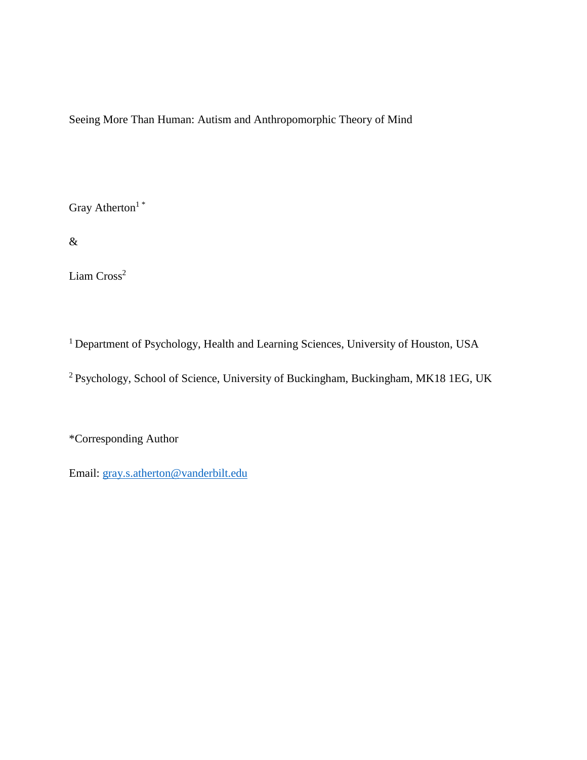Seeing More Than Human: Autism and Anthropomorphic Theory of Mind

Gray Atherton<sup>1\*</sup>

&

Liam Cross<sup>2</sup>

<sup>1</sup> Department of Psychology, Health and Learning Sciences, University of Houston, USA

<sup>2</sup> Psychology, School of Science, University of Buckingham, Buckingham, MK18 1EG, UK

\*Corresponding Author

Email: [gray.s.atherton@vanderbilt.edu](mailto:gray.s.atherton@vanderbilt.edu)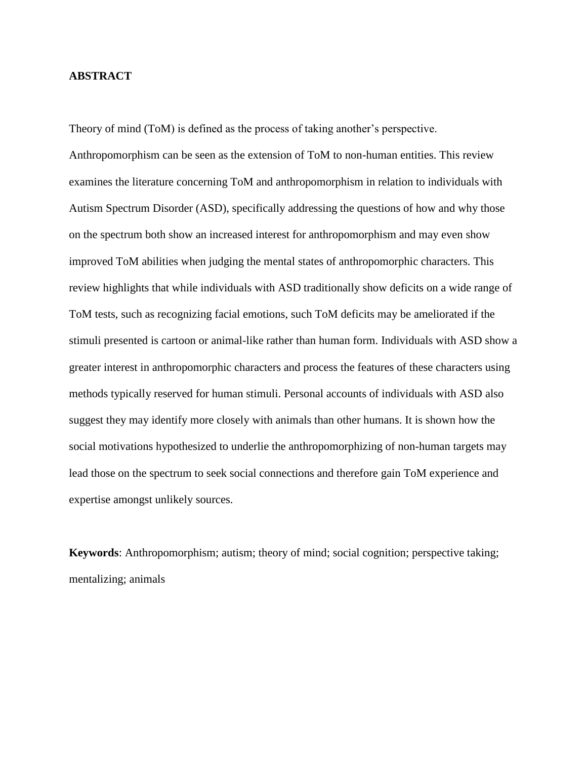# **ABSTRACT**

Theory of mind (ToM) is defined as the process of taking another's perspective.

Anthropomorphism can be seen as the extension of ToM to non-human entities. This review examines the literature concerning ToM and anthropomorphism in relation to individuals with Autism Spectrum Disorder (ASD), specifically addressing the questions of how and why those on the spectrum both show an increased interest for anthropomorphism and may even show improved ToM abilities when judging the mental states of anthropomorphic characters. This review highlights that while individuals with ASD traditionally show deficits on a wide range of ToM tests, such as recognizing facial emotions, such ToM deficits may be ameliorated if the stimuli presented is cartoon or animal-like rather than human form. Individuals with ASD show a greater interest in anthropomorphic characters and process the features of these characters using methods typically reserved for human stimuli. Personal accounts of individuals with ASD also suggest they may identify more closely with animals than other humans. It is shown how the social motivations hypothesized to underlie the anthropomorphizing of non-human targets may lead those on the spectrum to seek social connections and therefore gain ToM experience and expertise amongst unlikely sources.

**Keywords**: Anthropomorphism; autism; theory of mind; social cognition; perspective taking; mentalizing; animals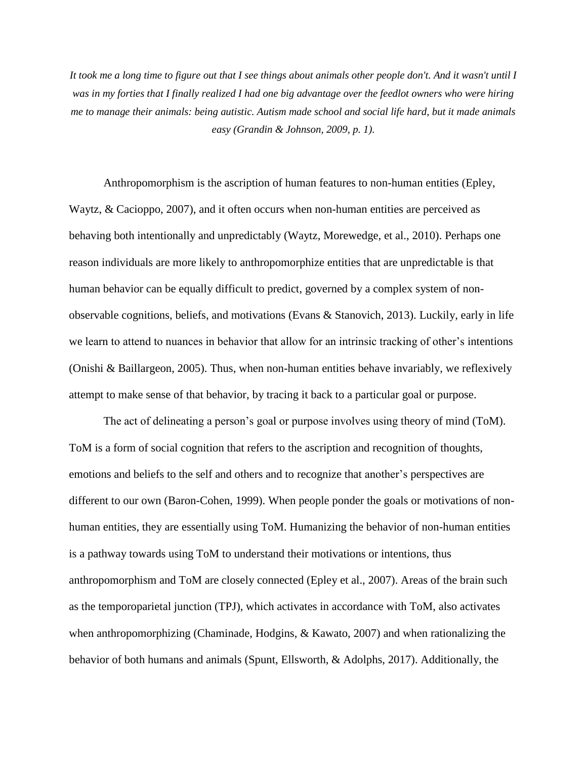*It took me a long time to figure out that I see things about animals other people don't. And it wasn't until I was in my forties that I finally realized I had one big advantage over the feedlot owners who were hiring me to manage their animals: being autistic. Autism made school and social life hard, but it made animals easy (Grandin & Johnson, 2009, p. 1).*

Anthropomorphism is the ascription of human features to non-human entities (Epley, Waytz, & Cacioppo, 2007), and it often occurs when non-human entities are perceived as behaving both intentionally and unpredictably (Waytz, Morewedge, et al., 2010). Perhaps one reason individuals are more likely to anthropomorphize entities that are unpredictable is that human behavior can be equally difficult to predict, governed by a complex system of nonobservable cognitions, beliefs, and motivations (Evans & Stanovich, 2013). Luckily, early in life we learn to attend to nuances in behavior that allow for an intrinsic tracking of other's intentions (Onishi & Baillargeon, 2005). Thus, when non-human entities behave invariably, we reflexively attempt to make sense of that behavior, by tracing it back to a particular goal or purpose.

The act of delineating a person's goal or purpose involves using theory of mind (ToM). ToM is a form of social cognition that refers to the ascription and recognition of thoughts, emotions and beliefs to the self and others and to recognize that another's perspectives are different to our own (Baron-Cohen, 1999). When people ponder the goals or motivations of nonhuman entities, they are essentially using ToM. Humanizing the behavior of non-human entities is a pathway towards using ToM to understand their motivations or intentions, thus anthropomorphism and ToM are closely connected (Epley et al., 2007). Areas of the brain such as the temporoparietal junction (TPJ), which activates in accordance with ToM, also activates when anthropomorphizing (Chaminade, Hodgins, & Kawato, 2007) and when rationalizing the behavior of both humans and animals (Spunt, Ellsworth, & Adolphs, 2017). Additionally, the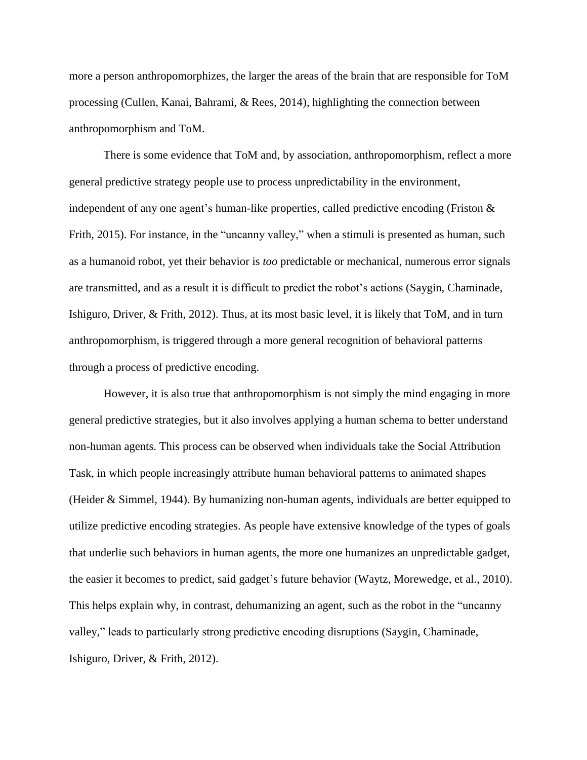more a person anthropomorphizes, the larger the areas of the brain that are responsible for ToM processing (Cullen, Kanai, Bahrami, & Rees, 2014), highlighting the connection between anthropomorphism and ToM.

There is some evidence that ToM and, by association, anthropomorphism, reflect a more general predictive strategy people use to process unpredictability in the environment, independent of any one agent's human-like properties, called predictive encoding (Friston & Frith, 2015). For instance, in the "uncanny valley," when a stimuli is presented as human, such as a humanoid robot, yet their behavior is *too* predictable or mechanical, numerous error signals are transmitted, and as a result it is difficult to predict the robot's actions (Saygin, Chaminade, Ishiguro, Driver, & Frith, 2012). Thus, at its most basic level, it is likely that ToM, and in turn anthropomorphism, is triggered through a more general recognition of behavioral patterns through a process of predictive encoding.

However, it is also true that anthropomorphism is not simply the mind engaging in more general predictive strategies, but it also involves applying a human schema to better understand non-human agents. This process can be observed when individuals take the Social Attribution Task, in which people increasingly attribute human behavioral patterns to animated shapes (Heider & Simmel, 1944). By humanizing non-human agents, individuals are better equipped to utilize predictive encoding strategies. As people have extensive knowledge of the types of goals that underlie such behaviors in human agents, the more one humanizes an unpredictable gadget, the easier it becomes to predict, said gadget's future behavior (Waytz, Morewedge, et al., 2010). This helps explain why, in contrast, dehumanizing an agent, such as the robot in the "uncanny valley," leads to particularly strong predictive encoding disruptions (Saygin, Chaminade, Ishiguro, Driver, & Frith, 2012).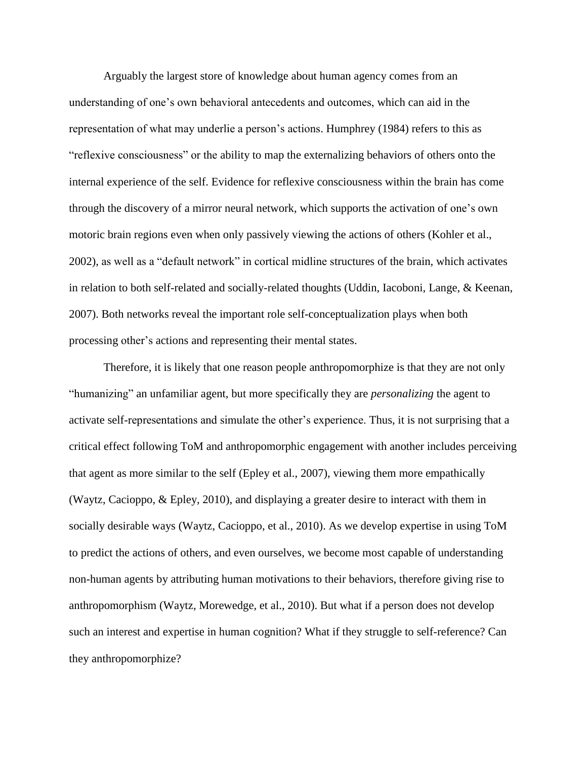Arguably the largest store of knowledge about human agency comes from an understanding of one's own behavioral antecedents and outcomes, which can aid in the representation of what may underlie a person's actions. Humphrey (1984) refers to this as "reflexive consciousness" or the ability to map the externalizing behaviors of others onto the internal experience of the self. Evidence for reflexive consciousness within the brain has come through the discovery of a mirror neural network, which supports the activation of one's own motoric brain regions even when only passively viewing the actions of others (Kohler et al., 2002), as well as a "default network" in cortical midline structures of the brain, which activates in relation to both self-related and socially-related thoughts (Uddin, Iacoboni, Lange, & Keenan, 2007). Both networks reveal the important role self-conceptualization plays when both processing other's actions and representing their mental states.

Therefore, it is likely that one reason people anthropomorphize is that they are not only "humanizing" an unfamiliar agent, but more specifically they are *personalizing* the agent to activate self-representations and simulate the other's experience. Thus, it is not surprising that a critical effect following ToM and anthropomorphic engagement with another includes perceiving that agent as more similar to the self (Epley et al., 2007), viewing them more empathically (Waytz, Cacioppo, & Epley, 2010), and displaying a greater desire to interact with them in socially desirable ways (Waytz, Cacioppo, et al., 2010). As we develop expertise in using ToM to predict the actions of others, and even ourselves, we become most capable of understanding non-human agents by attributing human motivations to their behaviors, therefore giving rise to anthropomorphism (Waytz, Morewedge, et al., 2010). But what if a person does not develop such an interest and expertise in human cognition? What if they struggle to self-reference? Can they anthropomorphize?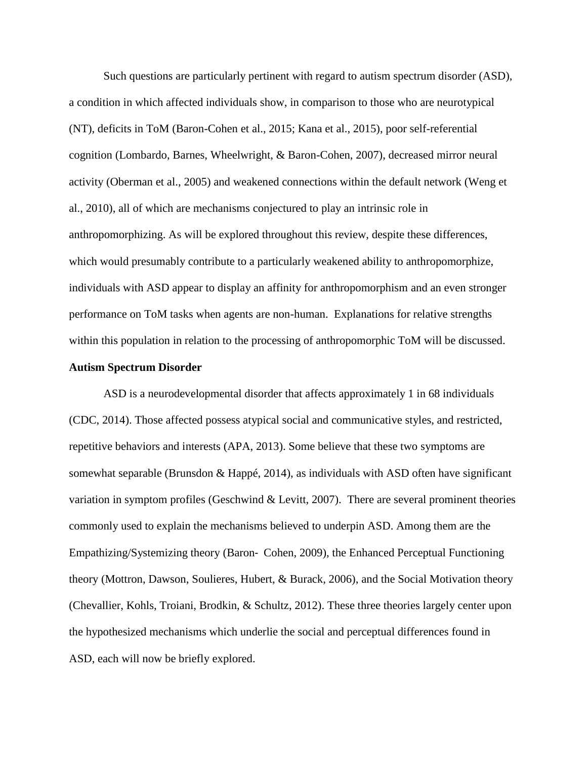Such questions are particularly pertinent with regard to autism spectrum disorder (ASD), a condition in which affected individuals show, in comparison to those who are neurotypical (NT), deficits in ToM (Baron-Cohen et al., 2015; Kana et al., 2015), poor self-referential cognition (Lombardo, Barnes, Wheelwright, & Baron-Cohen, 2007), decreased mirror neural activity (Oberman et al., 2005) and weakened connections within the default network (Weng et al., 2010), all of which are mechanisms conjectured to play an intrinsic role in anthropomorphizing. As will be explored throughout this review, despite these differences, which would presumably contribute to a particularly weakened ability to anthropomorphize, individuals with ASD appear to display an affinity for anthropomorphism and an even stronger performance on ToM tasks when agents are non-human. Explanations for relative strengths within this population in relation to the processing of anthropomorphic ToM will be discussed.

## **Autism Spectrum Disorder**

ASD is a neurodevelopmental disorder that affects approximately 1 in 68 individuals (CDC, 2014). Those affected possess atypical social and communicative styles, and restricted, repetitive behaviors and interests (APA, 2013). Some believe that these two symptoms are somewhat separable (Brunsdon & Happé, 2014), as individuals with ASD often have significant variation in symptom profiles (Geschwind & Levitt, 2007). There are several prominent theories commonly used to explain the mechanisms believed to underpin ASD. Among them are the Empathizing/Systemizing theory (Baron‐ Cohen, 2009), the Enhanced Perceptual Functioning theory (Mottron, Dawson, Soulieres, Hubert, & Burack, 2006), and the Social Motivation theory (Chevallier, Kohls, Troiani, Brodkin, & Schultz, 2012). These three theories largely center upon the hypothesized mechanisms which underlie the social and perceptual differences found in ASD, each will now be briefly explored.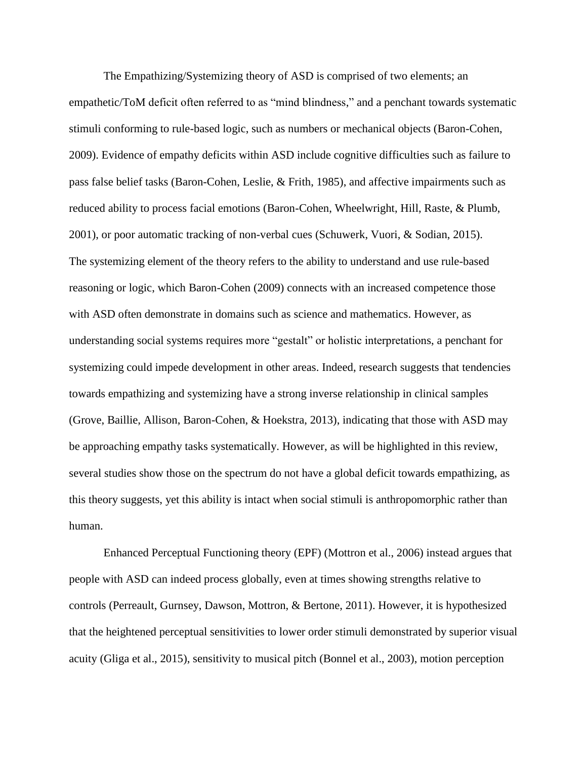The Empathizing/Systemizing theory of ASD is comprised of two elements; an empathetic/ToM deficit often referred to as "mind blindness," and a penchant towards systematic stimuli conforming to rule-based logic, such as numbers or mechanical objects (Baron-Cohen, 2009). Evidence of empathy deficits within ASD include cognitive difficulties such as failure to pass false belief tasks (Baron-Cohen, Leslie, & Frith, 1985), and affective impairments such as reduced ability to process facial emotions (Baron-Cohen, Wheelwright, Hill, Raste, & Plumb, 2001), or poor automatic tracking of non-verbal cues (Schuwerk, Vuori, & Sodian, 2015). The systemizing element of the theory refers to the ability to understand and use rule-based reasoning or logic, which Baron-Cohen (2009) connects with an increased competence those with ASD often demonstrate in domains such as science and mathematics. However, as understanding social systems requires more "gestalt" or holistic interpretations, a penchant for systemizing could impede development in other areas. Indeed, research suggests that tendencies towards empathizing and systemizing have a strong inverse relationship in clinical samples (Grove, Baillie, Allison, Baron-Cohen, & Hoekstra, 2013), indicating that those with ASD may be approaching empathy tasks systematically. However, as will be highlighted in this review, several studies show those on the spectrum do not have a global deficit towards empathizing, as this theory suggests, yet this ability is intact when social stimuli is anthropomorphic rather than human.

Enhanced Perceptual Functioning theory (EPF) (Mottron et al., 2006) instead argues that people with ASD can indeed process globally, even at times showing strengths relative to controls (Perreault, Gurnsey, Dawson, Mottron, & Bertone, 2011). However, it is hypothesized that the heightened perceptual sensitivities to lower order stimuli demonstrated by superior visual acuity (Gliga et al., 2015), sensitivity to musical pitch (Bonnel et al., 2003), motion perception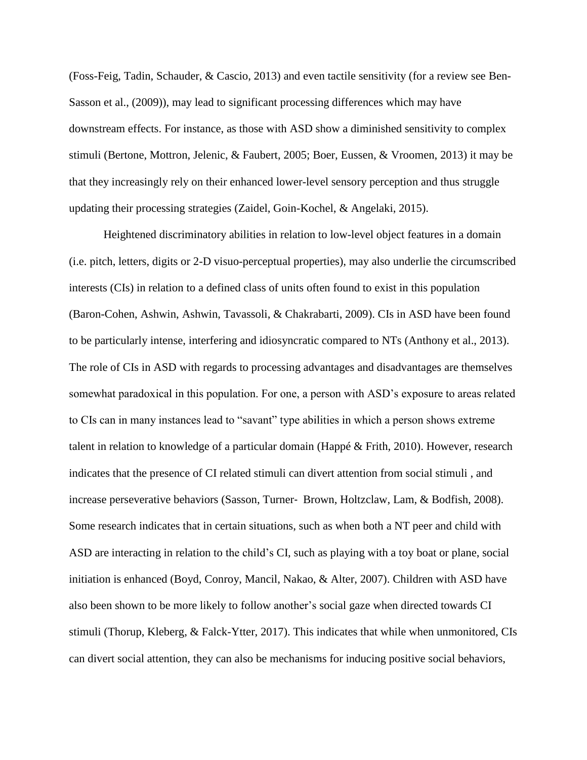(Foss-Feig, Tadin, Schauder, & Cascio, 2013) and even tactile sensitivity (for a review see Ben-Sasson et al., (2009)), may lead to significant processing differences which may have downstream effects. For instance, as those with ASD show a diminished sensitivity to complex stimuli (Bertone, Mottron, Jelenic, & Faubert, 2005; Boer, Eussen, & Vroomen, 2013) it may be that they increasingly rely on their enhanced lower-level sensory perception and thus struggle updating their processing strategies (Zaidel, Goin-Kochel, & Angelaki, 2015).

Heightened discriminatory abilities in relation to low-level object features in a domain (i.e. pitch, letters, digits or 2-D visuo-perceptual properties), may also underlie the circumscribed interests (CIs) in relation to a defined class of units often found to exist in this population (Baron-Cohen, Ashwin, Ashwin, Tavassoli, & Chakrabarti, 2009). CIs in ASD have been found to be particularly intense, interfering and idiosyncratic compared to NTs (Anthony et al., 2013). The role of CIs in ASD with regards to processing advantages and disadvantages are themselves somewhat paradoxical in this population. For one, a person with ASD's exposure to areas related to CIs can in many instances lead to "savant" type abilities in which a person shows extreme talent in relation to knowledge of a particular domain (Happé & Frith, 2010). However, research indicates that the presence of CI related stimuli can divert attention from social stimuli , and increase perseverative behaviors (Sasson, Turner‐ Brown, Holtzclaw, Lam, & Bodfish, 2008). Some research indicates that in certain situations, such as when both a NT peer and child with ASD are interacting in relation to the child's CI, such as playing with a toy boat or plane, social initiation is enhanced (Boyd, Conroy, Mancil, Nakao, & Alter, 2007). Children with ASD have also been shown to be more likely to follow another's social gaze when directed towards CI stimuli (Thorup, Kleberg, & Falck-Ytter, 2017). This indicates that while when unmonitored, CIs can divert social attention, they can also be mechanisms for inducing positive social behaviors,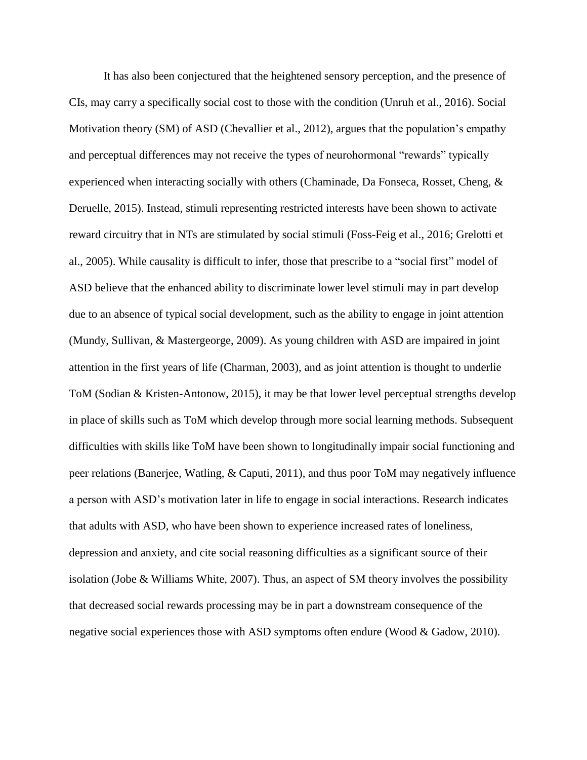It has also been conjectured that the heightened sensory perception, and the presence of CIs, may carry a specifically social cost to those with the condition (Unruh et al., 2016). Social Motivation theory (SM) of ASD (Chevallier et al., 2012), argues that the population's empathy and perceptual differences may not receive the types of neurohormonal "rewards" typically experienced when interacting socially with others (Chaminade, Da Fonseca, Rosset, Cheng, & Deruelle, 2015). Instead, stimuli representing restricted interests have been shown to activate reward circuitry that in NTs are stimulated by social stimuli (Foss-Feig et al., 2016; Grelotti et al., 2005). While causality is difficult to infer, those that prescribe to a "social first" model of ASD believe that the enhanced ability to discriminate lower level stimuli may in part develop due to an absence of typical social development, such as the ability to engage in joint attention (Mundy, Sullivan, & Mastergeorge, 2009). As young children with ASD are impaired in joint attention in the first years of life (Charman, 2003), and as joint attention is thought to underlie ToM (Sodian & Kristen-Antonow, 2015), it may be that lower level perceptual strengths develop in place of skills such as ToM which develop through more social learning methods. Subsequent difficulties with skills like ToM have been shown to longitudinally impair social functioning and peer relations (Banerjee, Watling, & Caputi, 2011), and thus poor ToM may negatively influence a person with ASD's motivation later in life to engage in social interactions. Research indicates that adults with ASD, who have been shown to experience increased rates of loneliness, depression and anxiety, and cite social reasoning difficulties as a significant source of their isolation (Jobe & Williams White, 2007). Thus, an aspect of SM theory involves the possibility that decreased social rewards processing may be in part a downstream consequence of the negative social experiences those with ASD symptoms often endure (Wood & Gadow, 2010).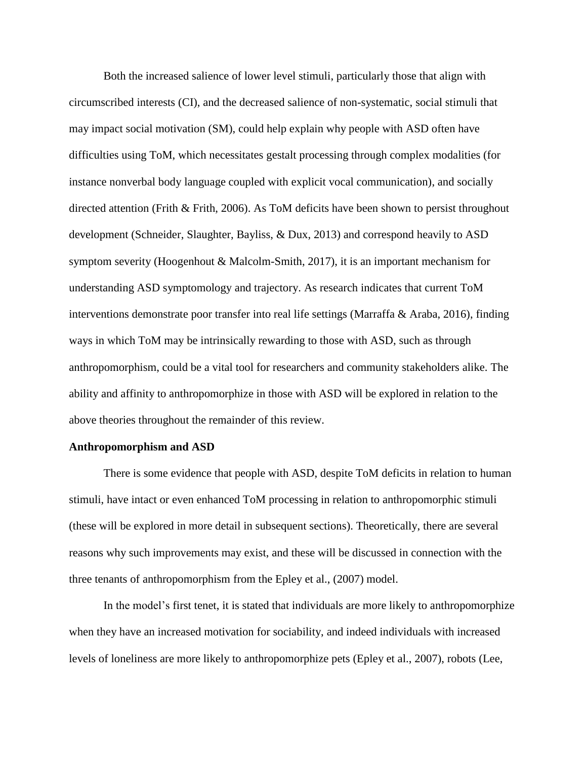Both the increased salience of lower level stimuli, particularly those that align with circumscribed interests (CI), and the decreased salience of non-systematic, social stimuli that may impact social motivation (SM), could help explain why people with ASD often have difficulties using ToM, which necessitates gestalt processing through complex modalities (for instance nonverbal body language coupled with explicit vocal communication), and socially directed attention (Frith & Frith, 2006). As ToM deficits have been shown to persist throughout development (Schneider, Slaughter, Bayliss, & Dux, 2013) and correspond heavily to ASD symptom severity (Hoogenhout & Malcolm-Smith, 2017), it is an important mechanism for understanding ASD symptomology and trajectory. As research indicates that current ToM interventions demonstrate poor transfer into real life settings (Marraffa & Araba, 2016), finding ways in which ToM may be intrinsically rewarding to those with ASD, such as through anthropomorphism, could be a vital tool for researchers and community stakeholders alike. The ability and affinity to anthropomorphize in those with ASD will be explored in relation to the above theories throughout the remainder of this review.

#### **Anthropomorphism and ASD**

There is some evidence that people with ASD, despite ToM deficits in relation to human stimuli, have intact or even enhanced ToM processing in relation to anthropomorphic stimuli (these will be explored in more detail in subsequent sections). Theoretically, there are several reasons why such improvements may exist, and these will be discussed in connection with the three tenants of anthropomorphism from the Epley et al., (2007) model.

In the model's first tenet, it is stated that individuals are more likely to anthropomorphize when they have an increased motivation for sociability, and indeed individuals with increased levels of loneliness are more likely to anthropomorphize pets (Epley et al., 2007), robots (Lee,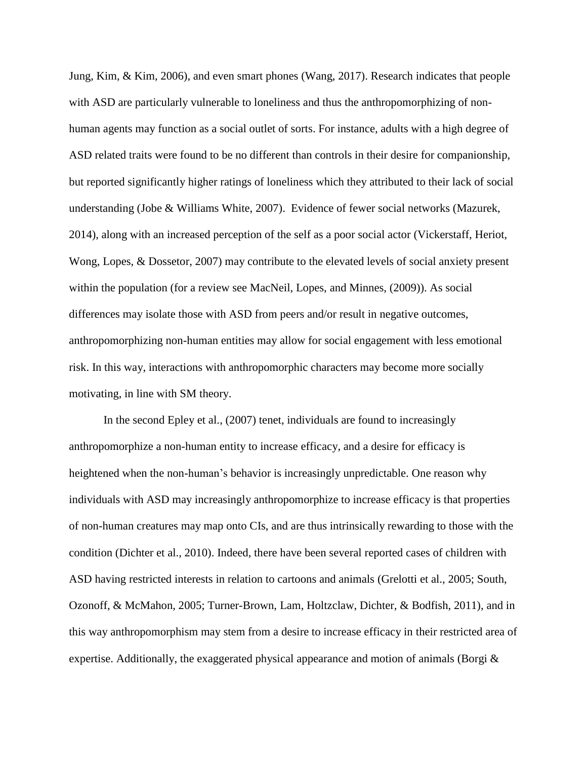Jung, Kim, & Kim, 2006), and even smart phones (Wang, 2017). Research indicates that people with ASD are particularly vulnerable to loneliness and thus the anthropomorphizing of nonhuman agents may function as a social outlet of sorts. For instance, adults with a high degree of ASD related traits were found to be no different than controls in their desire for companionship, but reported significantly higher ratings of loneliness which they attributed to their lack of social understanding (Jobe & Williams White, 2007). Evidence of fewer social networks (Mazurek, 2014), along with an increased perception of the self as a poor social actor (Vickerstaff, Heriot, Wong, Lopes, & Dossetor, 2007) may contribute to the elevated levels of social anxiety present within the population (for a review see MacNeil, Lopes, and Minnes, (2009)). As social differences may isolate those with ASD from peers and/or result in negative outcomes, anthropomorphizing non-human entities may allow for social engagement with less emotional risk. In this way, interactions with anthropomorphic characters may become more socially motivating, in line with SM theory.

In the second Epley et al., (2007) tenet, individuals are found to increasingly anthropomorphize a non-human entity to increase efficacy, and a desire for efficacy is heightened when the non-human's behavior is increasingly unpredictable. One reason why individuals with ASD may increasingly anthropomorphize to increase efficacy is that properties of non-human creatures may map onto CIs, and are thus intrinsically rewarding to those with the condition (Dichter et al., 2010). Indeed, there have been several reported cases of children with ASD having restricted interests in relation to cartoons and animals (Grelotti et al., 2005; South, Ozonoff, & McMahon, 2005; Turner-Brown, Lam, Holtzclaw, Dichter, & Bodfish, 2011), and in this way anthropomorphism may stem from a desire to increase efficacy in their restricted area of expertise. Additionally, the exaggerated physical appearance and motion of animals (Borgi &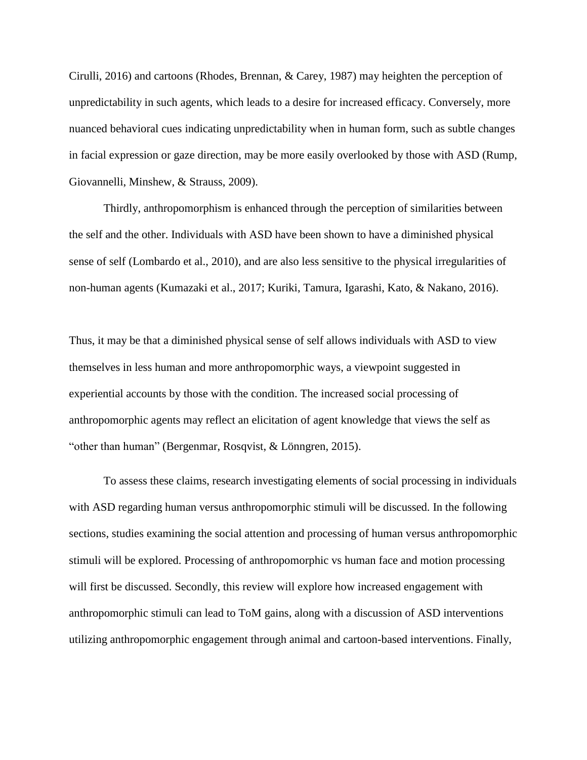Cirulli, 2016) and cartoons (Rhodes, Brennan, & Carey, 1987) may heighten the perception of unpredictability in such agents, which leads to a desire for increased efficacy. Conversely, more nuanced behavioral cues indicating unpredictability when in human form, such as subtle changes in facial expression or gaze direction, may be more easily overlooked by those with ASD (Rump, Giovannelli, Minshew, & Strauss, 2009).

Thirdly, anthropomorphism is enhanced through the perception of similarities between the self and the other. Individuals with ASD have been shown to have a diminished physical sense of self (Lombardo et al., 2010), and are also less sensitive to the physical irregularities of non-human agents (Kumazaki et al., 2017; Kuriki, Tamura, Igarashi, Kato, & Nakano, 2016).

Thus, it may be that a diminished physical sense of self allows individuals with ASD to view themselves in less human and more anthropomorphic ways, a viewpoint suggested in experiential accounts by those with the condition. The increased social processing of anthropomorphic agents may reflect an elicitation of agent knowledge that views the self as "other than human" (Bergenmar, Rosqvist, & Lönngren, 2015).

To assess these claims, research investigating elements of social processing in individuals with ASD regarding human versus anthropomorphic stimuli will be discussed. In the following sections, studies examining the social attention and processing of human versus anthropomorphic stimuli will be explored. Processing of anthropomorphic vs human face and motion processing will first be discussed. Secondly, this review will explore how increased engagement with anthropomorphic stimuli can lead to ToM gains, along with a discussion of ASD interventions utilizing anthropomorphic engagement through animal and cartoon-based interventions. Finally,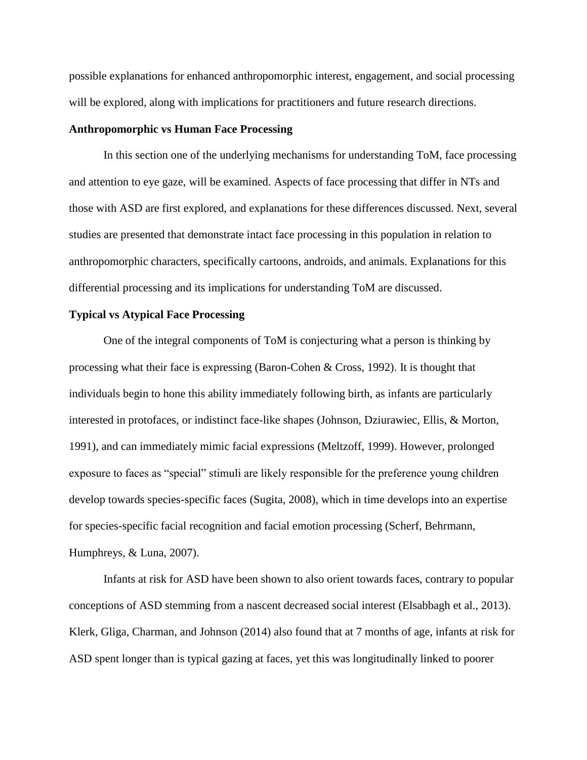possible explanations for enhanced anthropomorphic interest, engagement, and social processing will be explored, along with implications for practitioners and future research directions.

## **Anthropomorphic vs Human Face Processing**

In this section one of the underlying mechanisms for understanding ToM, face processing and attention to eye gaze, will be examined. Aspects of face processing that differ in NTs and those with ASD are first explored, and explanations for these differences discussed. Next, several studies are presented that demonstrate intact face processing in this population in relation to anthropomorphic characters, specifically cartoons, androids, and animals. Explanations for this differential processing and its implications for understanding ToM are discussed.

# **Typical vs Atypical Face Processing**

One of the integral components of ToM is conjecturing what a person is thinking by processing what their face is expressing (Baron-Cohen & Cross, 1992). It is thought that individuals begin to hone this ability immediately following birth, as infants are particularly interested in protofaces, or indistinct face-like shapes (Johnson, Dziurawiec, Ellis, & Morton, 1991), and can immediately mimic facial expressions (Meltzoff, 1999). However, prolonged exposure to faces as "special" stimuli are likely responsible for the preference young children develop towards species-specific faces (Sugita, 2008), which in time develops into an expertise for species-specific facial recognition and facial emotion processing (Scherf, Behrmann, Humphreys, & Luna, 2007).

Infants at risk for ASD have been shown to also orient towards faces, contrary to popular conceptions of ASD stemming from a nascent decreased social interest (Elsabbagh et al., 2013). Klerk, Gliga, Charman, and Johnson (2014) also found that at 7 months of age, infants at risk for ASD spent longer than is typical gazing at faces, yet this was longitudinally linked to poorer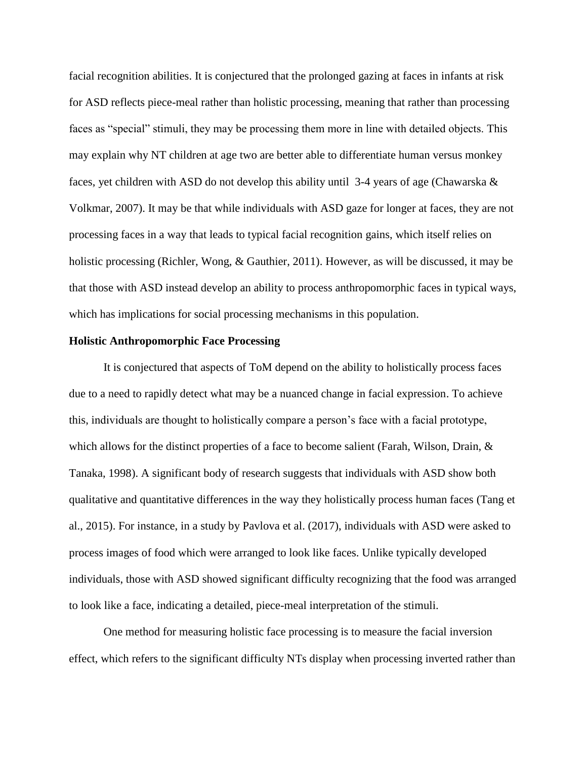facial recognition abilities. It is conjectured that the prolonged gazing at faces in infants at risk for ASD reflects piece-meal rather than holistic processing, meaning that rather than processing faces as "special" stimuli, they may be processing them more in line with detailed objects. This may explain why NT children at age two are better able to differentiate human versus monkey faces, yet children with ASD do not develop this ability until 3-4 years of age (Chawarska  $\&$ Volkmar, 2007). It may be that while individuals with ASD gaze for longer at faces, they are not processing faces in a way that leads to typical facial recognition gains, which itself relies on holistic processing (Richler, Wong, & Gauthier, 2011). However, as will be discussed, it may be that those with ASD instead develop an ability to process anthropomorphic faces in typical ways, which has implications for social processing mechanisms in this population.

## **Holistic Anthropomorphic Face Processing**

It is conjectured that aspects of ToM depend on the ability to holistically process faces due to a need to rapidly detect what may be a nuanced change in facial expression. To achieve this, individuals are thought to holistically compare a person's face with a facial prototype, which allows for the distinct properties of a face to become salient (Farah, Wilson, Drain,  $\&$ Tanaka, 1998). A significant body of research suggests that individuals with ASD show both qualitative and quantitative differences in the way they holistically process human faces (Tang et al., 2015). For instance, in a study by Pavlova et al. (2017), individuals with ASD were asked to process images of food which were arranged to look like faces. Unlike typically developed individuals, those with ASD showed significant difficulty recognizing that the food was arranged to look like a face, indicating a detailed, piece-meal interpretation of the stimuli.

One method for measuring holistic face processing is to measure the facial inversion effect, which refers to the significant difficulty NTs display when processing inverted rather than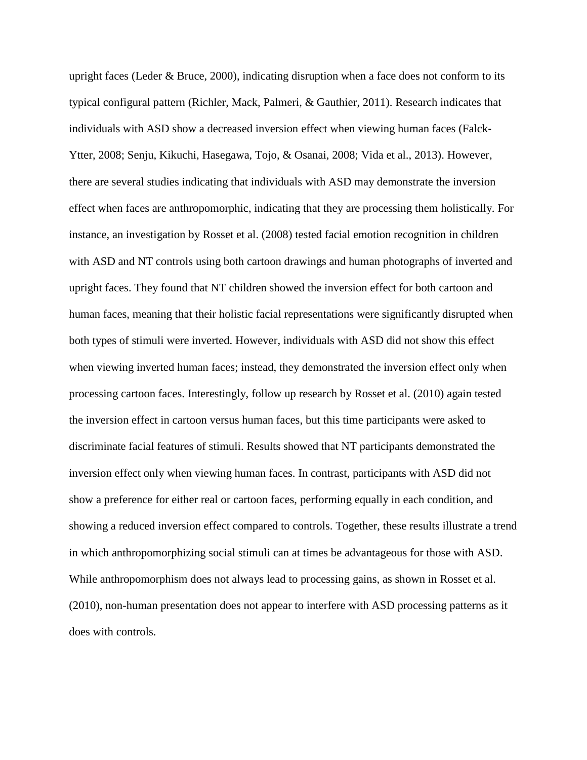upright faces (Leder & Bruce, 2000), indicating disruption when a face does not conform to its typical configural pattern (Richler, Mack, Palmeri, & Gauthier, 2011). Research indicates that individuals with ASD show a decreased inversion effect when viewing human faces (Falck– Ytter, 2008; Senju, Kikuchi, Hasegawa, Tojo, & Osanai, 2008; Vida et al., 2013). However, there are several studies indicating that individuals with ASD may demonstrate the inversion effect when faces are anthropomorphic, indicating that they are processing them holistically. For instance, an investigation by Rosset et al. (2008) tested facial emotion recognition in children with ASD and NT controls using both cartoon drawings and human photographs of inverted and upright faces. They found that NT children showed the inversion effect for both cartoon and human faces, meaning that their holistic facial representations were significantly disrupted when both types of stimuli were inverted. However, individuals with ASD did not show this effect when viewing inverted human faces; instead, they demonstrated the inversion effect only when processing cartoon faces. Interestingly, follow up research by Rosset et al. (2010) again tested the inversion effect in cartoon versus human faces, but this time participants were asked to discriminate facial features of stimuli. Results showed that NT participants demonstrated the inversion effect only when viewing human faces. In contrast, participants with ASD did not show a preference for either real or cartoon faces, performing equally in each condition, and showing a reduced inversion effect compared to controls. Together, these results illustrate a trend in which anthropomorphizing social stimuli can at times be advantageous for those with ASD. While anthropomorphism does not always lead to processing gains, as shown in Rosset et al. (2010), non-human presentation does not appear to interfere with ASD processing patterns as it does with controls.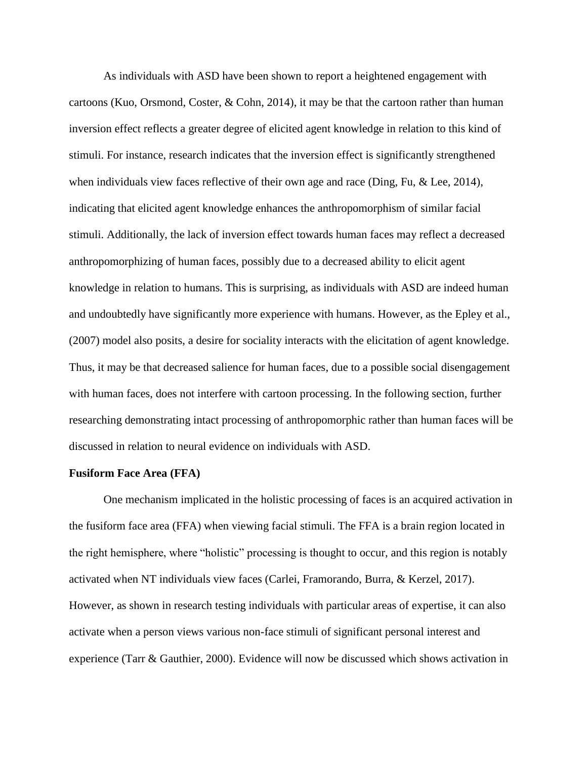As individuals with ASD have been shown to report a heightened engagement with cartoons (Kuo, Orsmond, Coster, & Cohn, 2014), it may be that the cartoon rather than human inversion effect reflects a greater degree of elicited agent knowledge in relation to this kind of stimuli. For instance, research indicates that the inversion effect is significantly strengthened when individuals view faces reflective of their own age and race (Ding, Fu, & Lee, 2014), indicating that elicited agent knowledge enhances the anthropomorphism of similar facial stimuli. Additionally, the lack of inversion effect towards human faces may reflect a decreased anthropomorphizing of human faces, possibly due to a decreased ability to elicit agent knowledge in relation to humans. This is surprising, as individuals with ASD are indeed human and undoubtedly have significantly more experience with humans. However, as the Epley et al., (2007) model also posits, a desire for sociality interacts with the elicitation of agent knowledge. Thus, it may be that decreased salience for human faces, due to a possible social disengagement with human faces, does not interfere with cartoon processing. In the following section, further researching demonstrating intact processing of anthropomorphic rather than human faces will be discussed in relation to neural evidence on individuals with ASD.

#### **Fusiform Face Area (FFA)**

One mechanism implicated in the holistic processing of faces is an acquired activation in the fusiform face area (FFA) when viewing facial stimuli. The FFA is a brain region located in the right hemisphere, where "holistic" processing is thought to occur, and this region is notably activated when NT individuals view faces (Carlei, Framorando, Burra, & Kerzel, 2017). However, as shown in research testing individuals with particular areas of expertise, it can also activate when a person views various non-face stimuli of significant personal interest and experience (Tarr & Gauthier, 2000). Evidence will now be discussed which shows activation in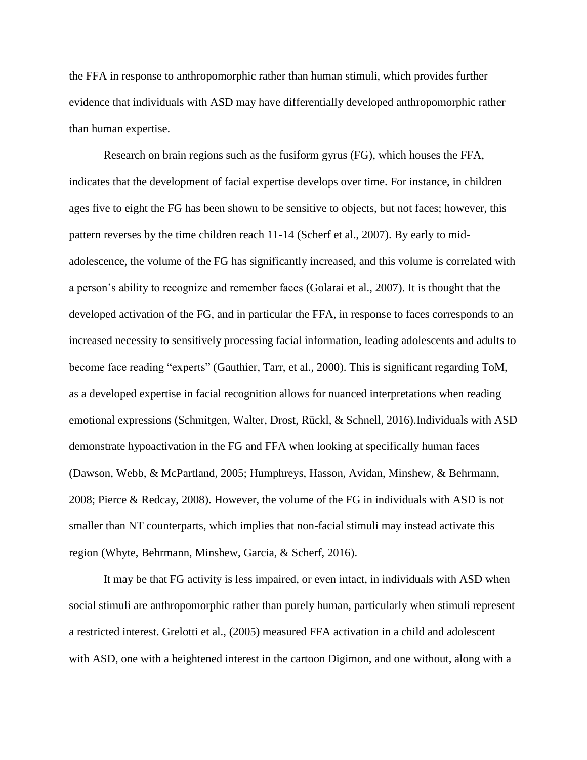the FFA in response to anthropomorphic rather than human stimuli, which provides further evidence that individuals with ASD may have differentially developed anthropomorphic rather than human expertise.

Research on brain regions such as the fusiform gyrus (FG), which houses the FFA, indicates that the development of facial expertise develops over time. For instance, in children ages five to eight the FG has been shown to be sensitive to objects, but not faces; however, this pattern reverses by the time children reach 11-14 (Scherf et al., 2007). By early to midadolescence, the volume of the FG has significantly increased, and this volume is correlated with a person's ability to recognize and remember faces (Golarai et al., 2007). It is thought that the developed activation of the FG, and in particular the FFA, in response to faces corresponds to an increased necessity to sensitively processing facial information, leading adolescents and adults to become face reading "experts" (Gauthier, Tarr, et al., 2000). This is significant regarding ToM, as a developed expertise in facial recognition allows for nuanced interpretations when reading emotional expressions (Schmitgen, Walter, Drost, Rückl, & Schnell, 2016).Individuals with ASD demonstrate hypoactivation in the FG and FFA when looking at specifically human faces (Dawson, Webb, & McPartland, 2005; Humphreys, Hasson, Avidan, Minshew, & Behrmann, 2008; Pierce & Redcay, 2008). However, the volume of the FG in individuals with ASD is not smaller than NT counterparts, which implies that non-facial stimuli may instead activate this region (Whyte, Behrmann, Minshew, Garcia, & Scherf, 2016).

It may be that FG activity is less impaired, or even intact, in individuals with ASD when social stimuli are anthropomorphic rather than purely human, particularly when stimuli represent a restricted interest. Grelotti et al., (2005) measured FFA activation in a child and adolescent with ASD, one with a heightened interest in the cartoon Digimon, and one without, along with a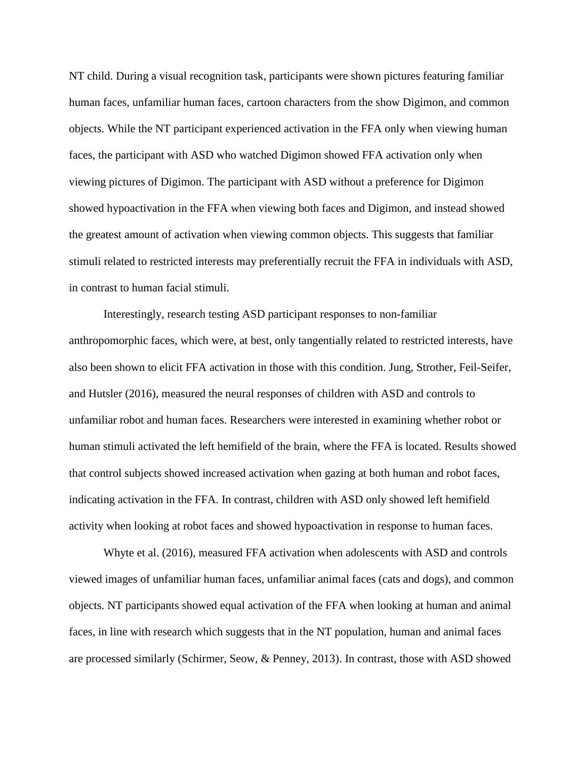NT child. During a visual recognition task, participants were shown pictures featuring familiar human faces, unfamiliar human faces, cartoon characters from the show Digimon, and common objects. While the NT participant experienced activation in the FFA only when viewing human faces, the participant with ASD who watched Digimon showed FFA activation only when viewing pictures of Digimon. The participant with ASD without a preference for Digimon showed hypoactivation in the FFA when viewing both faces and Digimon, and instead showed the greatest amount of activation when viewing common objects. This suggests that familiar stimuli related to restricted interests may preferentially recruit the FFA in individuals with ASD, in contrast to human facial stimuli.

Interestingly, research testing ASD participant responses to non-familiar anthropomorphic faces, which were, at best, only tangentially related to restricted interests, have also been shown to elicit FFA activation in those with this condition. Jung, Strother, Feil-Seifer, and Hutsler (2016), measured the neural responses of children with ASD and controls to unfamiliar robot and human faces. Researchers were interested in examining whether robot or human stimuli activated the left hemifield of the brain, where the FFA is located. Results showed that control subjects showed increased activation when gazing at both human and robot faces, indicating activation in the FFA. In contrast, children with ASD only showed left hemifield activity when looking at robot faces and showed hypoactivation in response to human faces.

Whyte et al. (2016), measured FFA activation when adolescents with ASD and controls viewed images of unfamiliar human faces, unfamiliar animal faces (cats and dogs), and common objects. NT participants showed equal activation of the FFA when looking at human and animal faces, in line with research which suggests that in the NT population, human and animal faces are processed similarly (Schirmer, Seow, & Penney, 2013). In contrast, those with ASD showed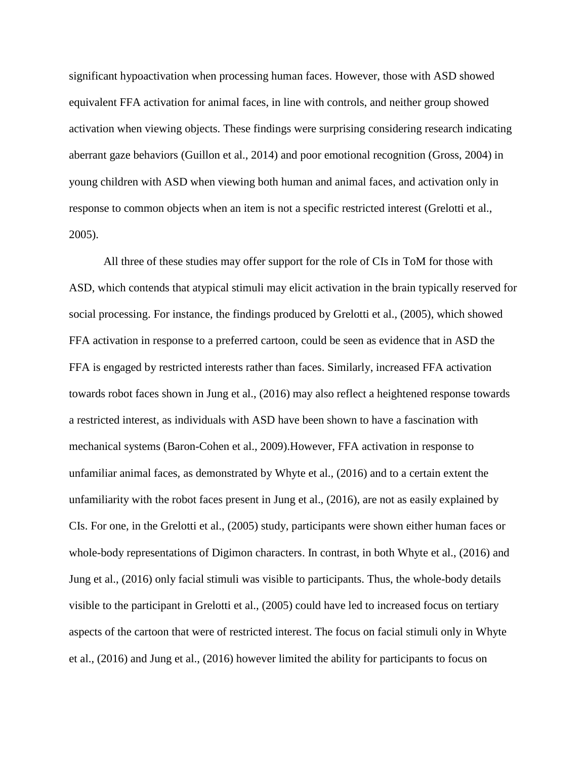significant hypoactivation when processing human faces. However, those with ASD showed equivalent FFA activation for animal faces, in line with controls, and neither group showed activation when viewing objects. These findings were surprising considering research indicating aberrant gaze behaviors (Guillon et al., 2014) and poor emotional recognition (Gross, 2004) in young children with ASD when viewing both human and animal faces, and activation only in response to common objects when an item is not a specific restricted interest (Grelotti et al., 2005).

All three of these studies may offer support for the role of CIs in ToM for those with ASD, which contends that atypical stimuli may elicit activation in the brain typically reserved for social processing. For instance, the findings produced by Grelotti et al., (2005), which showed FFA activation in response to a preferred cartoon, could be seen as evidence that in ASD the FFA is engaged by restricted interests rather than faces. Similarly, increased FFA activation towards robot faces shown in Jung et al., (2016) may also reflect a heightened response towards a restricted interest, as individuals with ASD have been shown to have a fascination with mechanical systems (Baron-Cohen et al., 2009).However, FFA activation in response to unfamiliar animal faces, as demonstrated by Whyte et al., (2016) and to a certain extent the unfamiliarity with the robot faces present in Jung et al., (2016), are not as easily explained by CIs. For one, in the Grelotti et al., (2005) study, participants were shown either human faces or whole-body representations of Digimon characters. In contrast, in both Whyte et al., (2016) and Jung et al., (2016) only facial stimuli was visible to participants. Thus, the whole-body details visible to the participant in Grelotti et al., (2005) could have led to increased focus on tertiary aspects of the cartoon that were of restricted interest. The focus on facial stimuli only in Whyte et al., (2016) and Jung et al., (2016) however limited the ability for participants to focus on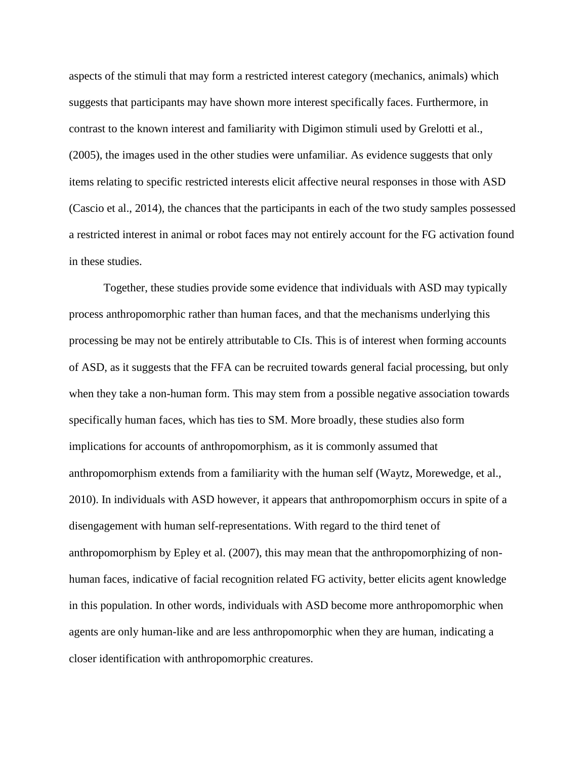aspects of the stimuli that may form a restricted interest category (mechanics, animals) which suggests that participants may have shown more interest specifically faces. Furthermore, in contrast to the known interest and familiarity with Digimon stimuli used by Grelotti et al., (2005), the images used in the other studies were unfamiliar. As evidence suggests that only items relating to specific restricted interests elicit affective neural responses in those with ASD (Cascio et al., 2014), the chances that the participants in each of the two study samples possessed a restricted interest in animal or robot faces may not entirely account for the FG activation found in these studies.

Together, these studies provide some evidence that individuals with ASD may typically process anthropomorphic rather than human faces, and that the mechanisms underlying this processing be may not be entirely attributable to CIs. This is of interest when forming accounts of ASD, as it suggests that the FFA can be recruited towards general facial processing, but only when they take a non-human form. This may stem from a possible negative association towards specifically human faces, which has ties to SM. More broadly, these studies also form implications for accounts of anthropomorphism, as it is commonly assumed that anthropomorphism extends from a familiarity with the human self (Waytz, Morewedge, et al., 2010). In individuals with ASD however, it appears that anthropomorphism occurs in spite of a disengagement with human self-representations. With regard to the third tenet of anthropomorphism by Epley et al. (2007), this may mean that the anthropomorphizing of nonhuman faces, indicative of facial recognition related FG activity, better elicits agent knowledge in this population. In other words, individuals with ASD become more anthropomorphic when agents are only human-like and are less anthropomorphic when they are human, indicating a closer identification with anthropomorphic creatures.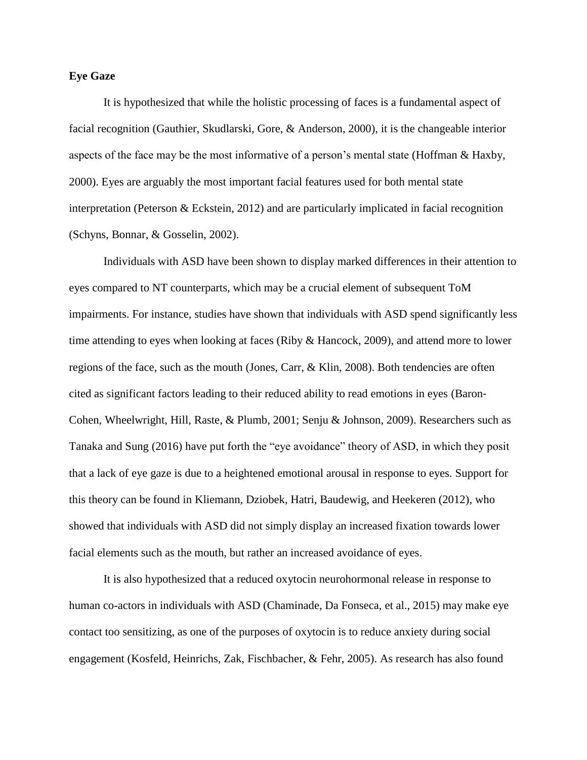# **Eye Gaze**

It is hypothesized that while the holistic processing of faces is a fundamental aspect of facial recognition (Gauthier, Skudlarski, Gore, & Anderson, 2000), it is the changeable interior aspects of the face may be the most informative of a person's mental state (Hoffman & Haxby, 2000). Eyes are arguably the most important facial features used for both mental state interpretation (Peterson & Eckstein, 2012) and are particularly implicated in facial recognition (Schyns, Bonnar, & Gosselin, 2002).

Individuals with ASD have been shown to display marked differences in their attention to eyes compared to NT counterparts, which may be a crucial element of subsequent ToM impairments. For instance, studies have shown that individuals with ASD spend significantly less time attending to eyes when looking at faces (Riby & Hancock, 2009), and attend more to lower regions of the face, such as the mouth (Jones, Carr, & Klin, 2008). Both tendencies are often cited as significant factors leading to their reduced ability to read emotions in eyes (Baron‐ Cohen, Wheelwright, Hill, Raste, & Plumb, 2001; Senju & Johnson, 2009). Researchers such as Tanaka and Sung (2016) have put forth the "eye avoidance" theory of ASD, in which they posit that a lack of eye gaze is due to a heightened emotional arousal in response to eyes. Support for this theory can be found in Kliemann, Dziobek, Hatri, Baudewig, and Heekeren (2012), who showed that individuals with ASD did not simply display an increased fixation towards lower facial elements such as the mouth, but rather an increased avoidance of eyes.

It is also hypothesized that a reduced oxytocin neurohormonal release in response to human co-actors in individuals with ASD (Chaminade, Da Fonseca, et al., 2015) may make eye contact too sensitizing, as one of the purposes of oxytocin is to reduce anxiety during social engagement (Kosfeld, Heinrichs, Zak, Fischbacher, & Fehr, 2005). As research has also found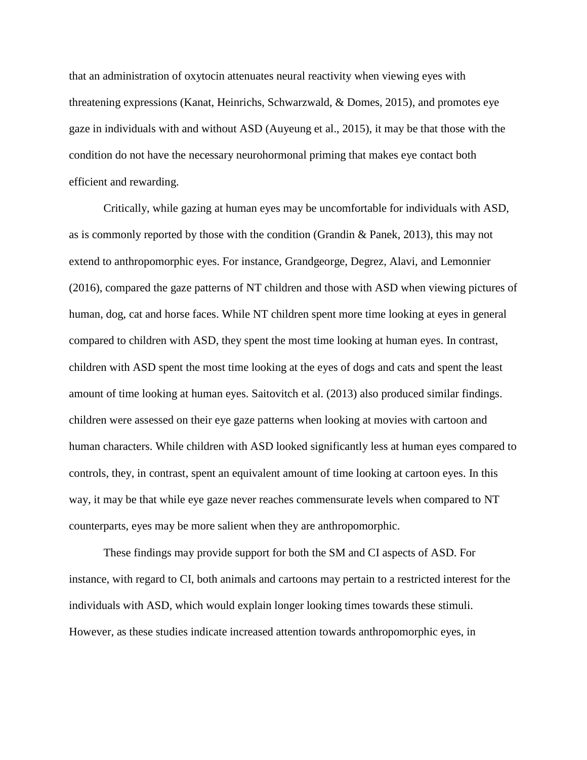that an administration of oxytocin attenuates neural reactivity when viewing eyes with threatening expressions (Kanat, Heinrichs, Schwarzwald, & Domes, 2015), and promotes eye gaze in individuals with and without ASD (Auyeung et al., 2015), it may be that those with the condition do not have the necessary neurohormonal priming that makes eye contact both efficient and rewarding.

Critically, while gazing at human eyes may be uncomfortable for individuals with ASD, as is commonly reported by those with the condition (Grandin & Panek, 2013), this may not extend to anthropomorphic eyes. For instance, Grandgeorge, Degrez, Alavi, and Lemonnier (2016), compared the gaze patterns of NT children and those with ASD when viewing pictures of human, dog, cat and horse faces. While NT children spent more time looking at eyes in general compared to children with ASD, they spent the most time looking at human eyes. In contrast, children with ASD spent the most time looking at the eyes of dogs and cats and spent the least amount of time looking at human eyes. Saitovitch et al. (2013) also produced similar findings. children were assessed on their eye gaze patterns when looking at movies with cartoon and human characters. While children with ASD looked significantly less at human eyes compared to controls, they, in contrast, spent an equivalent amount of time looking at cartoon eyes. In this way, it may be that while eye gaze never reaches commensurate levels when compared to NT counterparts, eyes may be more salient when they are anthropomorphic.

These findings may provide support for both the SM and CI aspects of ASD. For instance, with regard to CI, both animals and cartoons may pertain to a restricted interest for the individuals with ASD, which would explain longer looking times towards these stimuli. However, as these studies indicate increased attention towards anthropomorphic eyes, in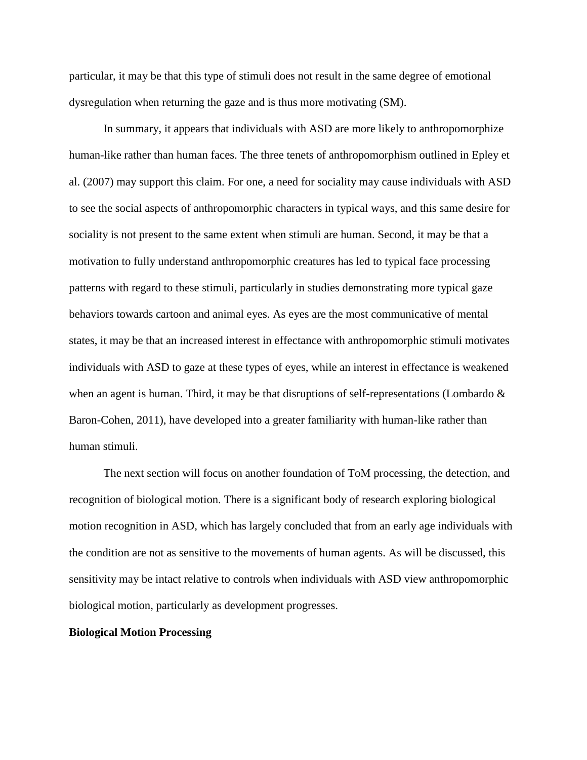particular, it may be that this type of stimuli does not result in the same degree of emotional dysregulation when returning the gaze and is thus more motivating (SM).

In summary, it appears that individuals with ASD are more likely to anthropomorphize human-like rather than human faces. The three tenets of anthropomorphism outlined in Epley et al. (2007) may support this claim. For one, a need for sociality may cause individuals with ASD to see the social aspects of anthropomorphic characters in typical ways, and this same desire for sociality is not present to the same extent when stimuli are human. Second, it may be that a motivation to fully understand anthropomorphic creatures has led to typical face processing patterns with regard to these stimuli, particularly in studies demonstrating more typical gaze behaviors towards cartoon and animal eyes. As eyes are the most communicative of mental states, it may be that an increased interest in effectance with anthropomorphic stimuli motivates individuals with ASD to gaze at these types of eyes, while an interest in effectance is weakened when an agent is human. Third, it may be that disruptions of self-representations (Lombardo  $\&$ Baron-Cohen, 2011), have developed into a greater familiarity with human-like rather than human stimuli.

The next section will focus on another foundation of ToM processing, the detection, and recognition of biological motion. There is a significant body of research exploring biological motion recognition in ASD, which has largely concluded that from an early age individuals with the condition are not as sensitive to the movements of human agents. As will be discussed, this sensitivity may be intact relative to controls when individuals with ASD view anthropomorphic biological motion, particularly as development progresses.

## **Biological Motion Processing**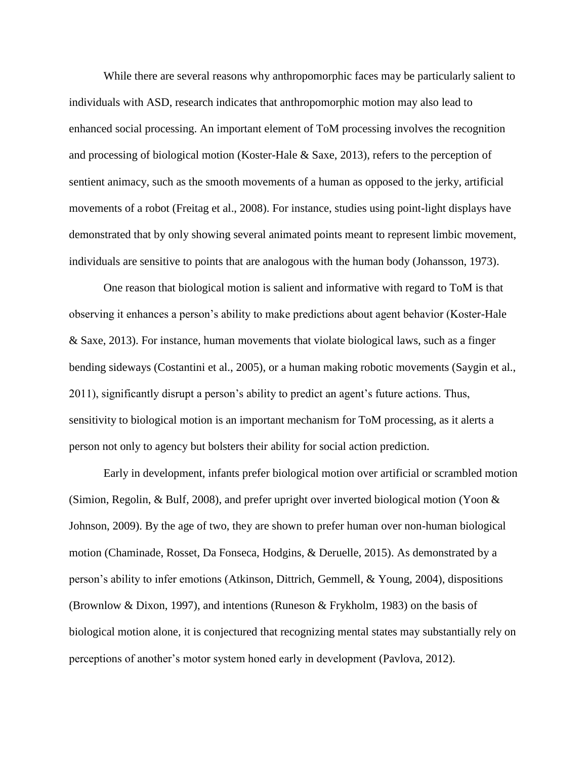While there are several reasons why anthropomorphic faces may be particularly salient to individuals with ASD, research indicates that anthropomorphic motion may also lead to enhanced social processing. An important element of ToM processing involves the recognition and processing of biological motion (Koster-Hale & Saxe, 2013), refers to the perception of sentient animacy, such as the smooth movements of a human as opposed to the jerky, artificial movements of a robot (Freitag et al., 2008). For instance, studies using point-light displays have demonstrated that by only showing several animated points meant to represent limbic movement, individuals are sensitive to points that are analogous with the human body (Johansson, 1973).

One reason that biological motion is salient and informative with regard to ToM is that observing it enhances a person's ability to make predictions about agent behavior (Koster-Hale & Saxe, 2013). For instance, human movements that violate biological laws, such as a finger bending sideways (Costantini et al., 2005), or a human making robotic movements (Saygin et al., 2011), significantly disrupt a person's ability to predict an agent's future actions. Thus, sensitivity to biological motion is an important mechanism for ToM processing, as it alerts a person not only to agency but bolsters their ability for social action prediction.

Early in development, infants prefer biological motion over artificial or scrambled motion (Simion, Regolin, & Bulf, 2008), and prefer upright over inverted biological motion (Yoon & Johnson, 2009). By the age of two, they are shown to prefer human over non-human biological motion (Chaminade, Rosset, Da Fonseca, Hodgins, & Deruelle, 2015). As demonstrated by a person's ability to infer emotions (Atkinson, Dittrich, Gemmell, & Young, 2004), dispositions (Brownlow & Dixon, 1997), and intentions (Runeson & Frykholm, 1983) on the basis of biological motion alone, it is conjectured that recognizing mental states may substantially rely on perceptions of another's motor system honed early in development (Pavlova, 2012).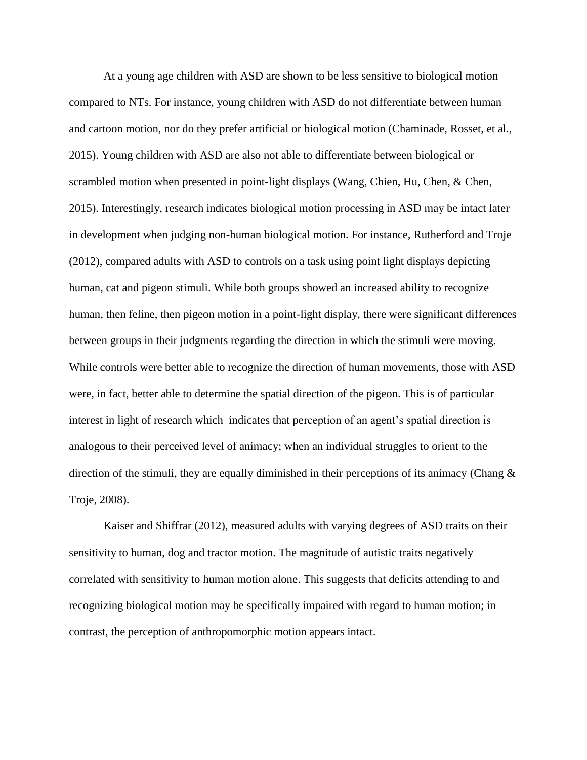At a young age children with ASD are shown to be less sensitive to biological motion compared to NTs. For instance, young children with ASD do not differentiate between human and cartoon motion, nor do they prefer artificial or biological motion (Chaminade, Rosset, et al., 2015). Young children with ASD are also not able to differentiate between biological or scrambled motion when presented in point-light displays (Wang, Chien, Hu, Chen, & Chen, 2015). Interestingly, research indicates biological motion processing in ASD may be intact later in development when judging non-human biological motion. For instance, Rutherford and Troje (2012), compared adults with ASD to controls on a task using point light displays depicting human, cat and pigeon stimuli. While both groups showed an increased ability to recognize human, then feline, then pigeon motion in a point-light display, there were significant differences between groups in their judgments regarding the direction in which the stimuli were moving. While controls were better able to recognize the direction of human movements, those with ASD were, in fact, better able to determine the spatial direction of the pigeon. This is of particular interest in light of research which indicates that perception of an agent's spatial direction is analogous to their perceived level of animacy; when an individual struggles to orient to the direction of the stimuli, they are equally diminished in their perceptions of its animacy (Chang  $\&$ Troje, 2008).

Kaiser and Shiffrar (2012), measured adults with varying degrees of ASD traits on their sensitivity to human, dog and tractor motion. The magnitude of autistic traits negatively correlated with sensitivity to human motion alone. This suggests that deficits attending to and recognizing biological motion may be specifically impaired with regard to human motion; in contrast, the perception of anthropomorphic motion appears intact.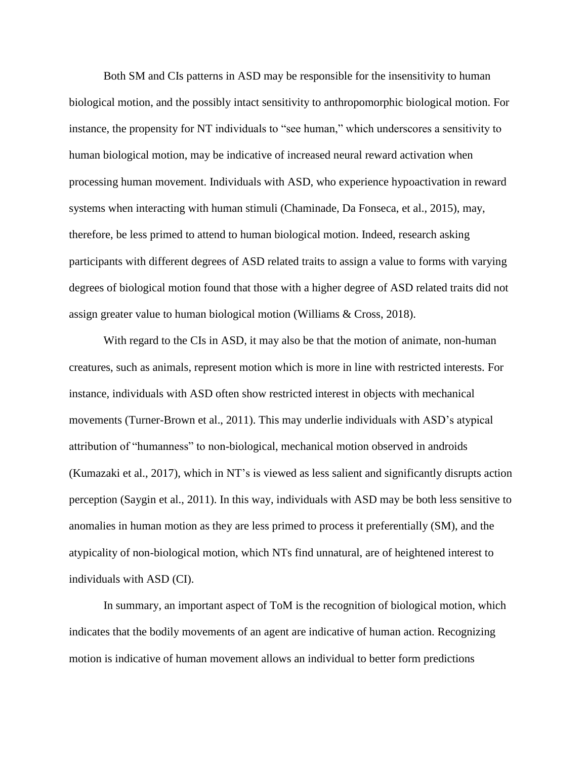Both SM and CIs patterns in ASD may be responsible for the insensitivity to human biological motion, and the possibly intact sensitivity to anthropomorphic biological motion. For instance, the propensity for NT individuals to "see human," which underscores a sensitivity to human biological motion, may be indicative of increased neural reward activation when processing human movement. Individuals with ASD, who experience hypoactivation in reward systems when interacting with human stimuli (Chaminade, Da Fonseca, et al., 2015), may, therefore, be less primed to attend to human biological motion. Indeed, research asking participants with different degrees of ASD related traits to assign a value to forms with varying degrees of biological motion found that those with a higher degree of ASD related traits did not assign greater value to human biological motion (Williams & Cross, 2018).

With regard to the CIs in ASD, it may also be that the motion of animate, non-human creatures, such as animals, represent motion which is more in line with restricted interests. For instance, individuals with ASD often show restricted interest in objects with mechanical movements (Turner-Brown et al., 2011). This may underlie individuals with ASD's atypical attribution of "humanness" to non-biological, mechanical motion observed in androids (Kumazaki et al., 2017), which in NT's is viewed as less salient and significantly disrupts action perception (Saygin et al., 2011). In this way, individuals with ASD may be both less sensitive to anomalies in human motion as they are less primed to process it preferentially (SM), and the atypicality of non-biological motion, which NTs find unnatural, are of heightened interest to individuals with ASD (CI).

In summary, an important aspect of ToM is the recognition of biological motion, which indicates that the bodily movements of an agent are indicative of human action. Recognizing motion is indicative of human movement allows an individual to better form predictions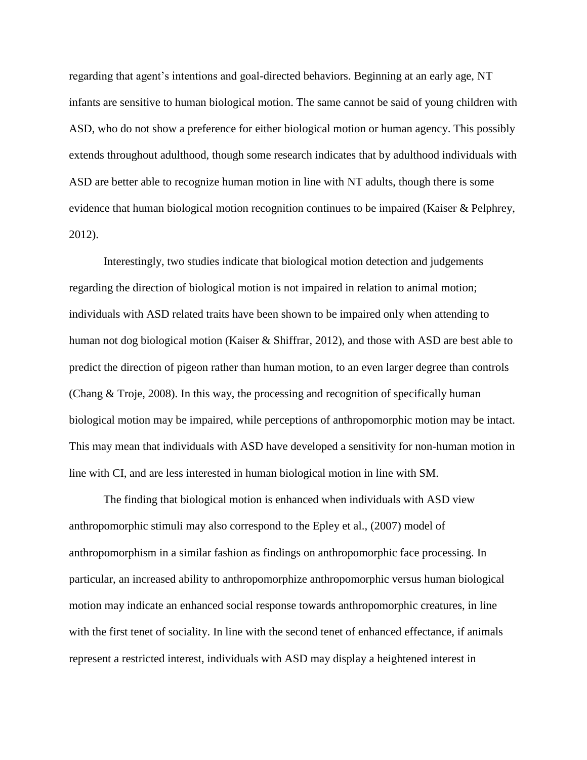regarding that agent's intentions and goal-directed behaviors. Beginning at an early age, NT infants are sensitive to human biological motion. The same cannot be said of young children with ASD, who do not show a preference for either biological motion or human agency. This possibly extends throughout adulthood, though some research indicates that by adulthood individuals with ASD are better able to recognize human motion in line with NT adults, though there is some evidence that human biological motion recognition continues to be impaired (Kaiser & Pelphrey, 2012).

Interestingly, two studies indicate that biological motion detection and judgements regarding the direction of biological motion is not impaired in relation to animal motion; individuals with ASD related traits have been shown to be impaired only when attending to human not dog biological motion (Kaiser & Shiffrar, 2012), and those with ASD are best able to predict the direction of pigeon rather than human motion, to an even larger degree than controls (Chang & Troje, 2008). In this way, the processing and recognition of specifically human biological motion may be impaired, while perceptions of anthropomorphic motion may be intact. This may mean that individuals with ASD have developed a sensitivity for non-human motion in line with CI, and are less interested in human biological motion in line with SM.

The finding that biological motion is enhanced when individuals with ASD view anthropomorphic stimuli may also correspond to the Epley et al., (2007) model of anthropomorphism in a similar fashion as findings on anthropomorphic face processing. In particular, an increased ability to anthropomorphize anthropomorphic versus human biological motion may indicate an enhanced social response towards anthropomorphic creatures, in line with the first tenet of sociality. In line with the second tenet of enhanced effectance, if animals represent a restricted interest, individuals with ASD may display a heightened interest in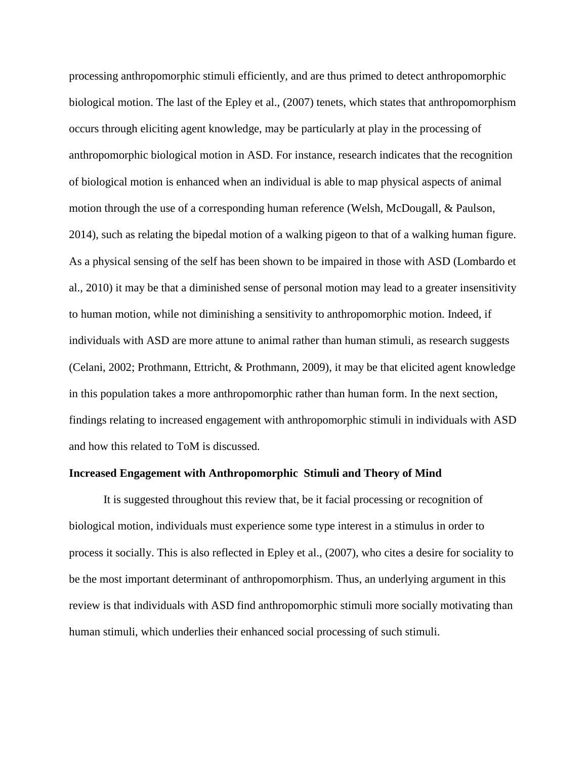processing anthropomorphic stimuli efficiently, and are thus primed to detect anthropomorphic biological motion. The last of the Epley et al., (2007) tenets, which states that anthropomorphism occurs through eliciting agent knowledge, may be particularly at play in the processing of anthropomorphic biological motion in ASD. For instance, research indicates that the recognition of biological motion is enhanced when an individual is able to map physical aspects of animal motion through the use of a corresponding human reference (Welsh, McDougall, & Paulson, 2014), such as relating the bipedal motion of a walking pigeon to that of a walking human figure. As a physical sensing of the self has been shown to be impaired in those with ASD (Lombardo et al., 2010) it may be that a diminished sense of personal motion may lead to a greater insensitivity to human motion, while not diminishing a sensitivity to anthropomorphic motion. Indeed, if individuals with ASD are more attune to animal rather than human stimuli, as research suggests (Celani, 2002; Prothmann, Ettricht, & Prothmann, 2009), it may be that elicited agent knowledge in this population takes a more anthropomorphic rather than human form. In the next section, findings relating to increased engagement with anthropomorphic stimuli in individuals with ASD and how this related to ToM is discussed.

## **Increased Engagement with Anthropomorphic Stimuli and Theory of Mind**

It is suggested throughout this review that, be it facial processing or recognition of biological motion, individuals must experience some type interest in a stimulus in order to process it socially. This is also reflected in Epley et al., (2007), who cites a desire for sociality to be the most important determinant of anthropomorphism. Thus, an underlying argument in this review is that individuals with ASD find anthropomorphic stimuli more socially motivating than human stimuli, which underlies their enhanced social processing of such stimuli.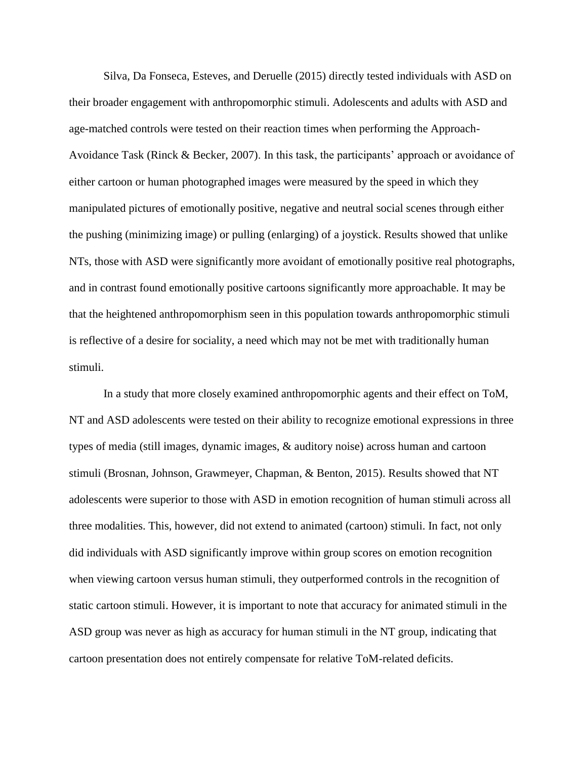Silva, Da Fonseca, Esteves, and Deruelle (2015) directly tested individuals with ASD on their broader engagement with anthropomorphic stimuli. Adolescents and adults with ASD and age-matched controls were tested on their reaction times when performing the Approach-Avoidance Task (Rinck & Becker, 2007). In this task, the participants' approach or avoidance of either cartoon or human photographed images were measured by the speed in which they manipulated pictures of emotionally positive, negative and neutral social scenes through either the pushing (minimizing image) or pulling (enlarging) of a joystick. Results showed that unlike NTs, those with ASD were significantly more avoidant of emotionally positive real photographs, and in contrast found emotionally positive cartoons significantly more approachable. It may be that the heightened anthropomorphism seen in this population towards anthropomorphic stimuli is reflective of a desire for sociality, a need which may not be met with traditionally human stimuli.

In a study that more closely examined anthropomorphic agents and their effect on ToM, NT and ASD adolescents were tested on their ability to recognize emotional expressions in three types of media (still images, dynamic images, & auditory noise) across human and cartoon stimuli (Brosnan, Johnson, Grawmeyer, Chapman, & Benton, 2015). Results showed that NT adolescents were superior to those with ASD in emotion recognition of human stimuli across all three modalities. This, however, did not extend to animated (cartoon) stimuli. In fact, not only did individuals with ASD significantly improve within group scores on emotion recognition when viewing cartoon versus human stimuli, they outperformed controls in the recognition of static cartoon stimuli. However, it is important to note that accuracy for animated stimuli in the ASD group was never as high as accuracy for human stimuli in the NT group, indicating that cartoon presentation does not entirely compensate for relative ToM-related deficits.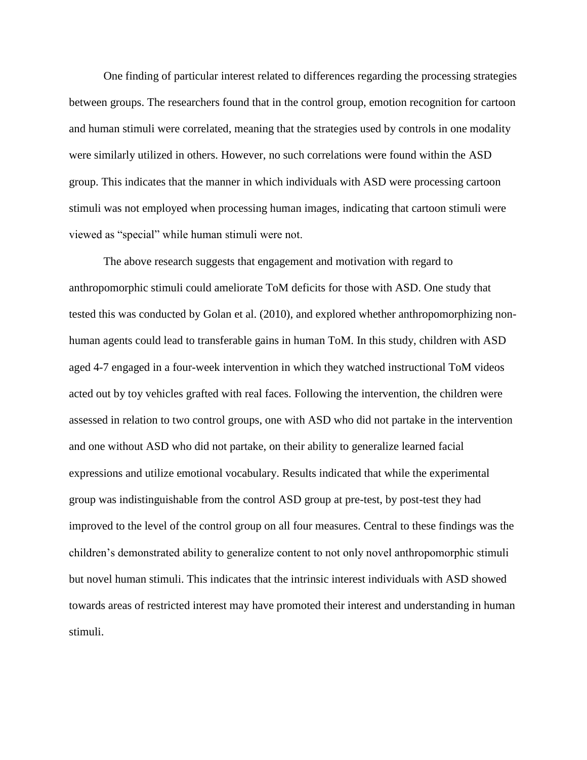One finding of particular interest related to differences regarding the processing strategies between groups. The researchers found that in the control group, emotion recognition for cartoon and human stimuli were correlated, meaning that the strategies used by controls in one modality were similarly utilized in others. However, no such correlations were found within the ASD group. This indicates that the manner in which individuals with ASD were processing cartoon stimuli was not employed when processing human images, indicating that cartoon stimuli were viewed as "special" while human stimuli were not.

The above research suggests that engagement and motivation with regard to anthropomorphic stimuli could ameliorate ToM deficits for those with ASD. One study that tested this was conducted by Golan et al. (2010), and explored whether anthropomorphizing nonhuman agents could lead to transferable gains in human ToM. In this study, children with ASD aged 4-7 engaged in a four-week intervention in which they watched instructional ToM videos acted out by toy vehicles grafted with real faces. Following the intervention, the children were assessed in relation to two control groups, one with ASD who did not partake in the intervention and one without ASD who did not partake, on their ability to generalize learned facial expressions and utilize emotional vocabulary. Results indicated that while the experimental group was indistinguishable from the control ASD group at pre-test, by post-test they had improved to the level of the control group on all four measures. Central to these findings was the children's demonstrated ability to generalize content to not only novel anthropomorphic stimuli but novel human stimuli. This indicates that the intrinsic interest individuals with ASD showed towards areas of restricted interest may have promoted their interest and understanding in human stimuli.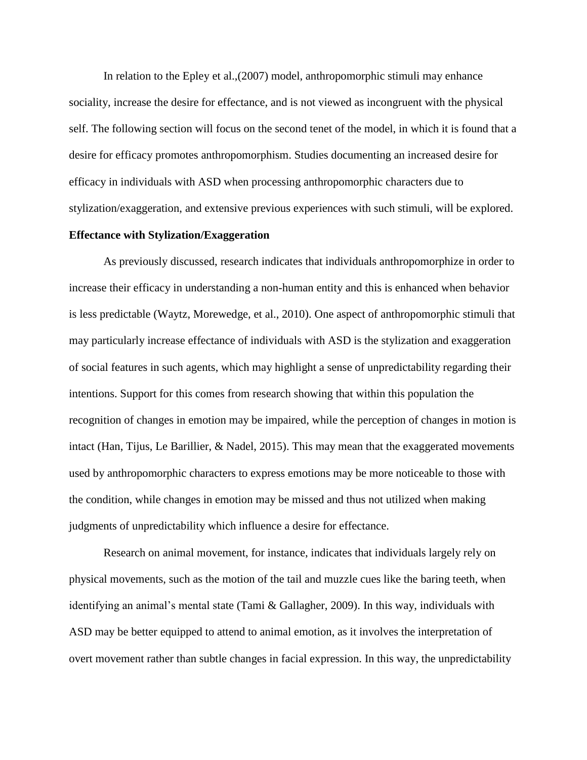In relation to the Epley et al.,(2007) model, anthropomorphic stimuli may enhance sociality, increase the desire for effectance, and is not viewed as incongruent with the physical self. The following section will focus on the second tenet of the model, in which it is found that a desire for efficacy promotes anthropomorphism. Studies documenting an increased desire for efficacy in individuals with ASD when processing anthropomorphic characters due to stylization/exaggeration, and extensive previous experiences with such stimuli, will be explored.

# **Effectance with Stylization/Exaggeration**

As previously discussed, research indicates that individuals anthropomorphize in order to increase their efficacy in understanding a non-human entity and this is enhanced when behavior is less predictable (Waytz, Morewedge, et al., 2010). One aspect of anthropomorphic stimuli that may particularly increase effectance of individuals with ASD is the stylization and exaggeration of social features in such agents, which may highlight a sense of unpredictability regarding their intentions. Support for this comes from research showing that within this population the recognition of changes in emotion may be impaired, while the perception of changes in motion is intact (Han, Tijus, Le Barillier, & Nadel, 2015). This may mean that the exaggerated movements used by anthropomorphic characters to express emotions may be more noticeable to those with the condition, while changes in emotion may be missed and thus not utilized when making judgments of unpredictability which influence a desire for effectance.

Research on animal movement, for instance, indicates that individuals largely rely on physical movements, such as the motion of the tail and muzzle cues like the baring teeth, when identifying an animal's mental state (Tami & Gallagher, 2009). In this way, individuals with ASD may be better equipped to attend to animal emotion, as it involves the interpretation of overt movement rather than subtle changes in facial expression. In this way, the unpredictability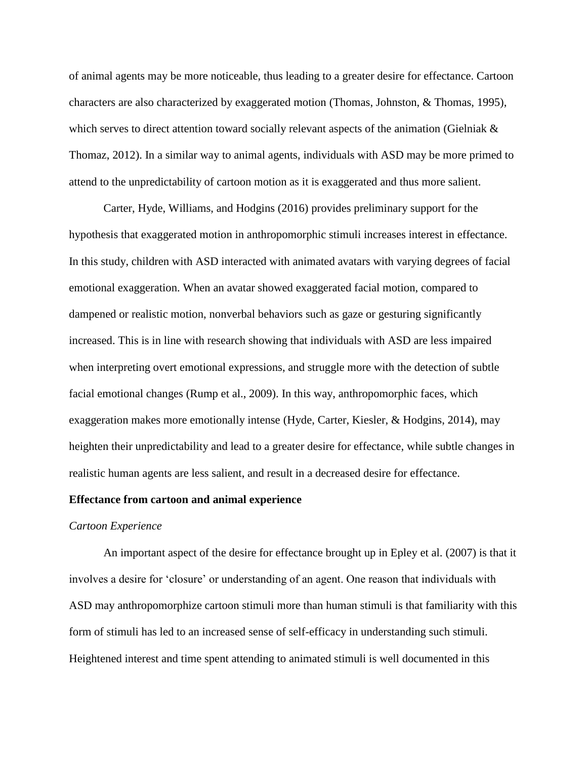of animal agents may be more noticeable, thus leading to a greater desire for effectance. Cartoon characters are also characterized by exaggerated motion (Thomas, Johnston, & Thomas, 1995), which serves to direct attention toward socially relevant aspects of the animation (Gielniak & Thomaz, 2012). In a similar way to animal agents, individuals with ASD may be more primed to attend to the unpredictability of cartoon motion as it is exaggerated and thus more salient.

Carter, Hyde, Williams, and Hodgins (2016) provides preliminary support for the hypothesis that exaggerated motion in anthropomorphic stimuli increases interest in effectance. In this study, children with ASD interacted with animated avatars with varying degrees of facial emotional exaggeration. When an avatar showed exaggerated facial motion, compared to dampened or realistic motion, nonverbal behaviors such as gaze or gesturing significantly increased. This is in line with research showing that individuals with ASD are less impaired when interpreting overt emotional expressions, and struggle more with the detection of subtle facial emotional changes (Rump et al., 2009). In this way, anthropomorphic faces, which exaggeration makes more emotionally intense (Hyde, Carter, Kiesler, & Hodgins, 2014), may heighten their unpredictability and lead to a greater desire for effectance, while subtle changes in realistic human agents are less salient, and result in a decreased desire for effectance.

## **Effectance from cartoon and animal experience**

#### *Cartoon Experience*

An important aspect of the desire for effectance brought up in Epley et al. (2007) is that it involves a desire for 'closure' or understanding of an agent. One reason that individuals with ASD may anthropomorphize cartoon stimuli more than human stimuli is that familiarity with this form of stimuli has led to an increased sense of self-efficacy in understanding such stimuli. Heightened interest and time spent attending to animated stimuli is well documented in this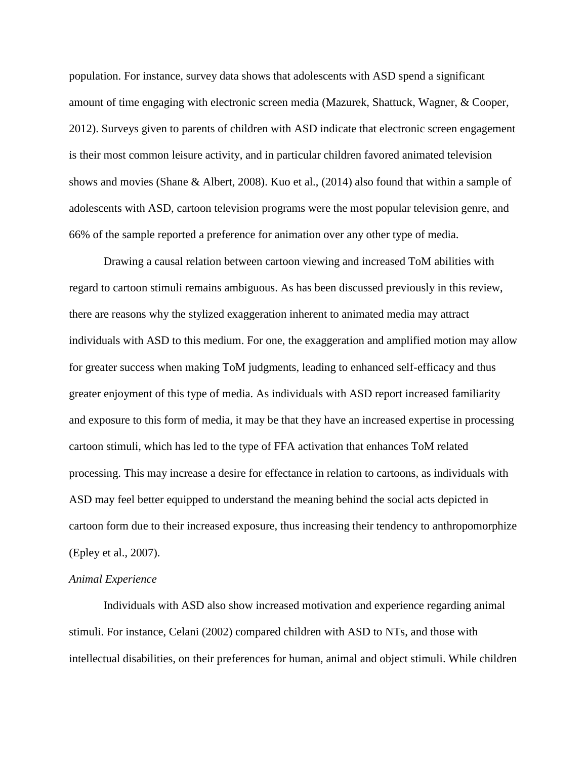population. For instance, survey data shows that adolescents with ASD spend a significant amount of time engaging with electronic screen media (Mazurek, Shattuck, Wagner, & Cooper, 2012). Surveys given to parents of children with ASD indicate that electronic screen engagement is their most common leisure activity, and in particular children favored animated television shows and movies (Shane & Albert, 2008). Kuo et al., (2014) also found that within a sample of adolescents with ASD, cartoon television programs were the most popular television genre, and 66% of the sample reported a preference for animation over any other type of media.

Drawing a causal relation between cartoon viewing and increased ToM abilities with regard to cartoon stimuli remains ambiguous. As has been discussed previously in this review, there are reasons why the stylized exaggeration inherent to animated media may attract individuals with ASD to this medium. For one, the exaggeration and amplified motion may allow for greater success when making ToM judgments, leading to enhanced self-efficacy and thus greater enjoyment of this type of media. As individuals with ASD report increased familiarity and exposure to this form of media, it may be that they have an increased expertise in processing cartoon stimuli, which has led to the type of FFA activation that enhances ToM related processing. This may increase a desire for effectance in relation to cartoons, as individuals with ASD may feel better equipped to understand the meaning behind the social acts depicted in cartoon form due to their increased exposure, thus increasing their tendency to anthropomorphize (Epley et al., 2007).

# *Animal Experience*

Individuals with ASD also show increased motivation and experience regarding animal stimuli. For instance, Celani (2002) compared children with ASD to NTs, and those with intellectual disabilities, on their preferences for human, animal and object stimuli. While children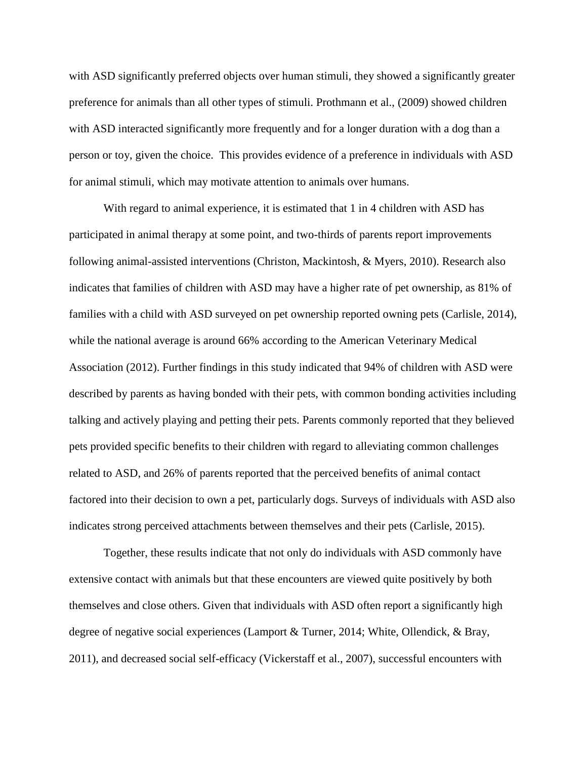with ASD significantly preferred objects over human stimuli, they showed a significantly greater preference for animals than all other types of stimuli. Prothmann et al., (2009) showed children with ASD interacted significantly more frequently and for a longer duration with a dog than a person or toy, given the choice. This provides evidence of a preference in individuals with ASD for animal stimuli, which may motivate attention to animals over humans.

With regard to animal experience, it is estimated that 1 in 4 children with ASD has participated in animal therapy at some point, and two-thirds of parents report improvements following animal-assisted interventions (Christon, Mackintosh, & Myers, 2010). Research also indicates that families of children with ASD may have a higher rate of pet ownership, as 81% of families with a child with ASD surveyed on pet ownership reported owning pets (Carlisle, 2014), while the national average is around 66% according to the American Veterinary Medical Association (2012). Further findings in this study indicated that 94% of children with ASD were described by parents as having bonded with their pets, with common bonding activities including talking and actively playing and petting their pets. Parents commonly reported that they believed pets provided specific benefits to their children with regard to alleviating common challenges related to ASD, and 26% of parents reported that the perceived benefits of animal contact factored into their decision to own a pet, particularly dogs. Surveys of individuals with ASD also indicates strong perceived attachments between themselves and their pets (Carlisle, 2015).

Together, these results indicate that not only do individuals with ASD commonly have extensive contact with animals but that these encounters are viewed quite positively by both themselves and close others. Given that individuals with ASD often report a significantly high degree of negative social experiences (Lamport & Turner, 2014; White, Ollendick, & Bray, 2011), and decreased social self-efficacy (Vickerstaff et al., 2007), successful encounters with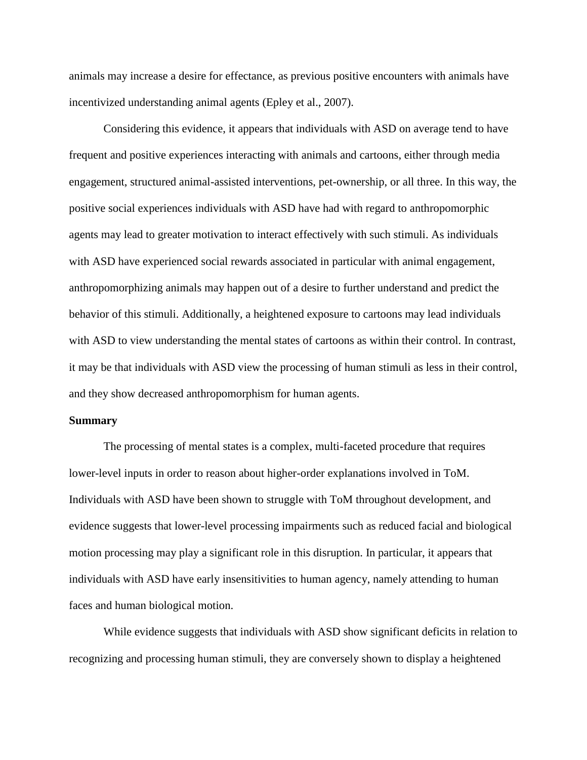animals may increase a desire for effectance, as previous positive encounters with animals have incentivized understanding animal agents (Epley et al., 2007).

Considering this evidence, it appears that individuals with ASD on average tend to have frequent and positive experiences interacting with animals and cartoons, either through media engagement, structured animal-assisted interventions, pet-ownership, or all three. In this way, the positive social experiences individuals with ASD have had with regard to anthropomorphic agents may lead to greater motivation to interact effectively with such stimuli. As individuals with ASD have experienced social rewards associated in particular with animal engagement, anthropomorphizing animals may happen out of a desire to further understand and predict the behavior of this stimuli. Additionally, a heightened exposure to cartoons may lead individuals with ASD to view understanding the mental states of cartoons as within their control. In contrast, it may be that individuals with ASD view the processing of human stimuli as less in their control, and they show decreased anthropomorphism for human agents.

#### **Summary**

The processing of mental states is a complex, multi-faceted procedure that requires lower-level inputs in order to reason about higher-order explanations involved in ToM. Individuals with ASD have been shown to struggle with ToM throughout development, and evidence suggests that lower-level processing impairments such as reduced facial and biological motion processing may play a significant role in this disruption. In particular, it appears that individuals with ASD have early insensitivities to human agency, namely attending to human faces and human biological motion.

While evidence suggests that individuals with ASD show significant deficits in relation to recognizing and processing human stimuli, they are conversely shown to display a heightened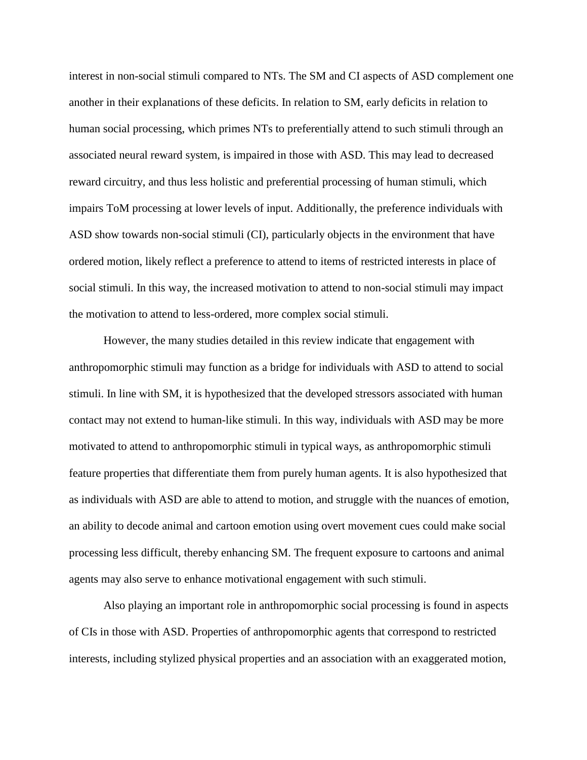interest in non-social stimuli compared to NTs. The SM and CI aspects of ASD complement one another in their explanations of these deficits. In relation to SM, early deficits in relation to human social processing, which primes NTs to preferentially attend to such stimuli through an associated neural reward system, is impaired in those with ASD. This may lead to decreased reward circuitry, and thus less holistic and preferential processing of human stimuli, which impairs ToM processing at lower levels of input. Additionally, the preference individuals with ASD show towards non-social stimuli (CI), particularly objects in the environment that have ordered motion, likely reflect a preference to attend to items of restricted interests in place of social stimuli. In this way, the increased motivation to attend to non-social stimuli may impact the motivation to attend to less-ordered, more complex social stimuli.

However, the many studies detailed in this review indicate that engagement with anthropomorphic stimuli may function as a bridge for individuals with ASD to attend to social stimuli. In line with SM, it is hypothesized that the developed stressors associated with human contact may not extend to human-like stimuli. In this way, individuals with ASD may be more motivated to attend to anthropomorphic stimuli in typical ways, as anthropomorphic stimuli feature properties that differentiate them from purely human agents. It is also hypothesized that as individuals with ASD are able to attend to motion, and struggle with the nuances of emotion, an ability to decode animal and cartoon emotion using overt movement cues could make social processing less difficult, thereby enhancing SM. The frequent exposure to cartoons and animal agents may also serve to enhance motivational engagement with such stimuli.

Also playing an important role in anthropomorphic social processing is found in aspects of CIs in those with ASD. Properties of anthropomorphic agents that correspond to restricted interests, including stylized physical properties and an association with an exaggerated motion,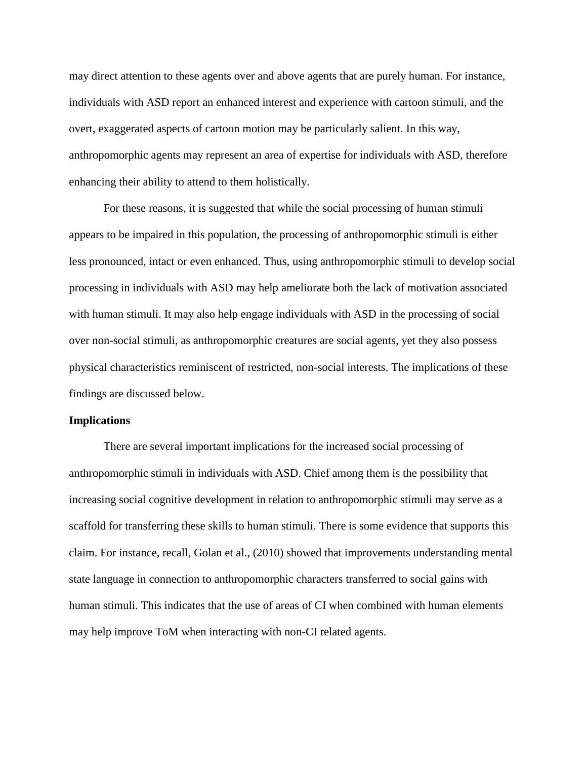may direct attention to these agents over and above agents that are purely human. For instance, individuals with ASD report an enhanced interest and experience with cartoon stimuli, and the overt, exaggerated aspects of cartoon motion may be particularly salient. In this way, anthropomorphic agents may represent an area of expertise for individuals with ASD, therefore enhancing their ability to attend to them holistically.

For these reasons, it is suggested that while the social processing of human stimuli appears to be impaired in this population, the processing of anthropomorphic stimuli is either less pronounced, intact or even enhanced. Thus, using anthropomorphic stimuli to develop social processing in individuals with ASD may help ameliorate both the lack of motivation associated with human stimuli. It may also help engage individuals with ASD in the processing of social over non-social stimuli, as anthropomorphic creatures are social agents, yet they also possess physical characteristics reminiscent of restricted, non-social interests. The implications of these findings are discussed below.

#### **Implications**

There are several important implications for the increased social processing of anthropomorphic stimuli in individuals with ASD. Chief among them is the possibility that increasing social cognitive development in relation to anthropomorphic stimuli may serve as a scaffold for transferring these skills to human stimuli. There is some evidence that supports this claim. For instance, recall, Golan et al., (2010) showed that improvements understanding mental state language in connection to anthropomorphic characters transferred to social gains with human stimuli. This indicates that the use of areas of CI when combined with human elements may help improve ToM when interacting with non-CI related agents.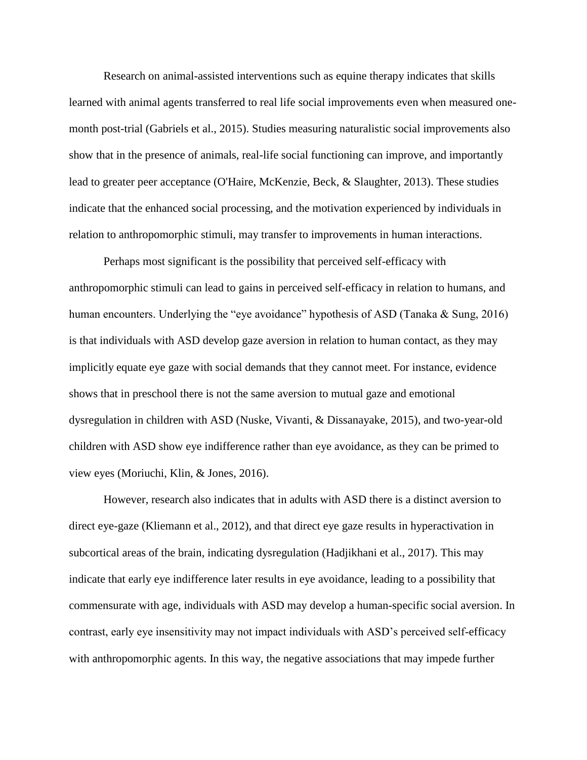Research on animal-assisted interventions such as equine therapy indicates that skills learned with animal agents transferred to real life social improvements even when measured onemonth post-trial (Gabriels et al., 2015). Studies measuring naturalistic social improvements also show that in the presence of animals, real-life social functioning can improve, and importantly lead to greater peer acceptance (O'Haire, McKenzie, Beck, & Slaughter, 2013). These studies indicate that the enhanced social processing, and the motivation experienced by individuals in relation to anthropomorphic stimuli, may transfer to improvements in human interactions.

Perhaps most significant is the possibility that perceived self-efficacy with anthropomorphic stimuli can lead to gains in perceived self-efficacy in relation to humans, and human encounters. Underlying the "eye avoidance" hypothesis of ASD (Tanaka & Sung, 2016) is that individuals with ASD develop gaze aversion in relation to human contact, as they may implicitly equate eye gaze with social demands that they cannot meet. For instance, evidence shows that in preschool there is not the same aversion to mutual gaze and emotional dysregulation in children with ASD (Nuske, Vivanti, & Dissanayake, 2015), and two-year-old children with ASD show eye indifference rather than eye avoidance, as they can be primed to view eyes (Moriuchi, Klin, & Jones, 2016).

However, research also indicates that in adults with ASD there is a distinct aversion to direct eye-gaze (Kliemann et al., 2012), and that direct eye gaze results in hyperactivation in subcortical areas of the brain, indicating dysregulation (Hadjikhani et al., 2017). This may indicate that early eye indifference later results in eye avoidance, leading to a possibility that commensurate with age, individuals with ASD may develop a human-specific social aversion. In contrast, early eye insensitivity may not impact individuals with ASD's perceived self-efficacy with anthropomorphic agents. In this way, the negative associations that may impede further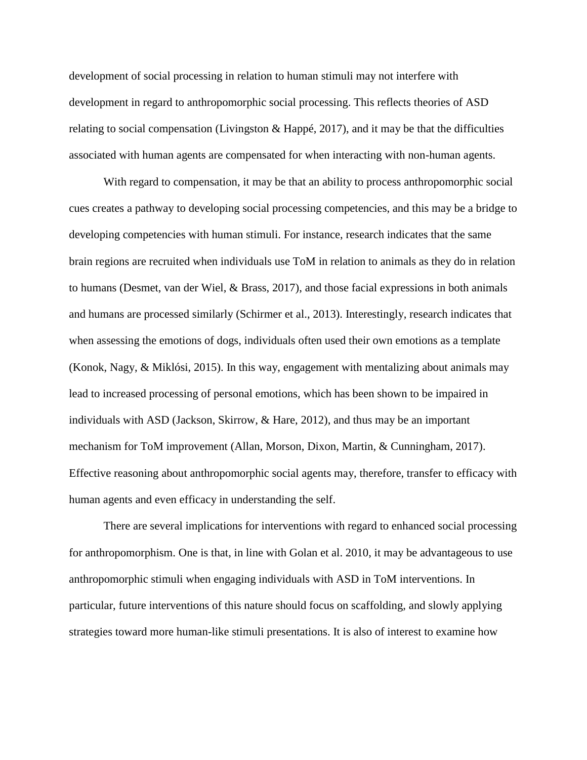development of social processing in relation to human stimuli may not interfere with development in regard to anthropomorphic social processing. This reflects theories of ASD relating to social compensation (Livingston  $\&$  Happé, 2017), and it may be that the difficulties associated with human agents are compensated for when interacting with non-human agents.

With regard to compensation, it may be that an ability to process anthropomorphic social cues creates a pathway to developing social processing competencies, and this may be a bridge to developing competencies with human stimuli. For instance, research indicates that the same brain regions are recruited when individuals use ToM in relation to animals as they do in relation to humans (Desmet, van der Wiel, & Brass, 2017), and those facial expressions in both animals and humans are processed similarly (Schirmer et al., 2013). Interestingly, research indicates that when assessing the emotions of dogs, individuals often used their own emotions as a template (Konok, Nagy, & Miklósi, 2015). In this way, engagement with mentalizing about animals may lead to increased processing of personal emotions, which has been shown to be impaired in individuals with ASD (Jackson, Skirrow, & Hare, 2012), and thus may be an important mechanism for ToM improvement (Allan, Morson, Dixon, Martin, & Cunningham, 2017). Effective reasoning about anthropomorphic social agents may, therefore, transfer to efficacy with human agents and even efficacy in understanding the self.

There are several implications for interventions with regard to enhanced social processing for anthropomorphism. One is that, in line with Golan et al. 2010, it may be advantageous to use anthropomorphic stimuli when engaging individuals with ASD in ToM interventions. In particular, future interventions of this nature should focus on scaffolding, and slowly applying strategies toward more human-like stimuli presentations. It is also of interest to examine how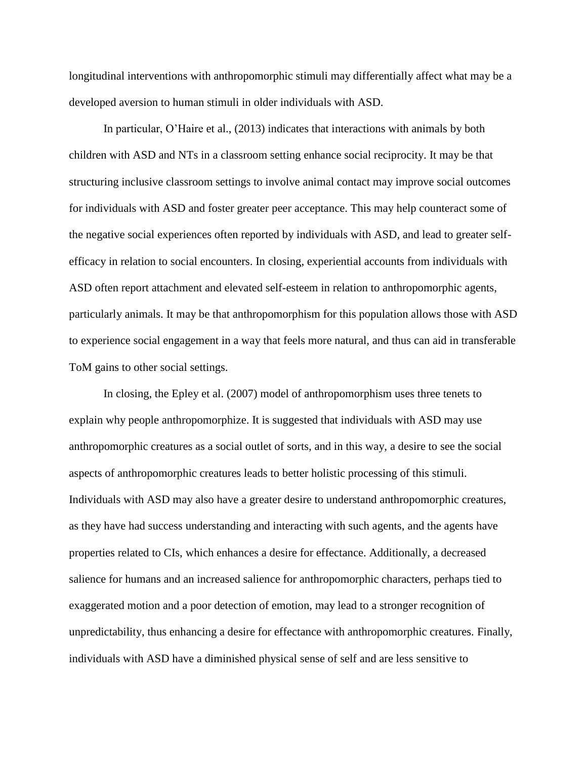longitudinal interventions with anthropomorphic stimuli may differentially affect what may be a developed aversion to human stimuli in older individuals with ASD.

In particular, O'Haire et al., (2013) indicates that interactions with animals by both children with ASD and NTs in a classroom setting enhance social reciprocity. It may be that structuring inclusive classroom settings to involve animal contact may improve social outcomes for individuals with ASD and foster greater peer acceptance. This may help counteract some of the negative social experiences often reported by individuals with ASD, and lead to greater selfefficacy in relation to social encounters. In closing, experiential accounts from individuals with ASD often report attachment and elevated self-esteem in relation to anthropomorphic agents, particularly animals. It may be that anthropomorphism for this population allows those with ASD to experience social engagement in a way that feels more natural, and thus can aid in transferable ToM gains to other social settings.

In closing, the Epley et al. (2007) model of anthropomorphism uses three tenets to explain why people anthropomorphize. It is suggested that individuals with ASD may use anthropomorphic creatures as a social outlet of sorts, and in this way, a desire to see the social aspects of anthropomorphic creatures leads to better holistic processing of this stimuli. Individuals with ASD may also have a greater desire to understand anthropomorphic creatures, as they have had success understanding and interacting with such agents, and the agents have properties related to CIs, which enhances a desire for effectance. Additionally, a decreased salience for humans and an increased salience for anthropomorphic characters, perhaps tied to exaggerated motion and a poor detection of emotion, may lead to a stronger recognition of unpredictability, thus enhancing a desire for effectance with anthropomorphic creatures. Finally, individuals with ASD have a diminished physical sense of self and are less sensitive to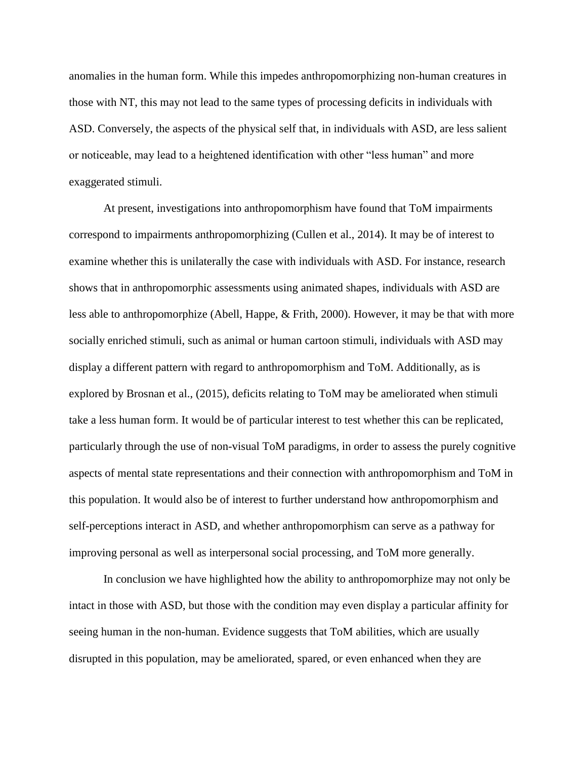anomalies in the human form. While this impedes anthropomorphizing non-human creatures in those with NT, this may not lead to the same types of processing deficits in individuals with ASD. Conversely, the aspects of the physical self that, in individuals with ASD, are less salient or noticeable, may lead to a heightened identification with other "less human" and more exaggerated stimuli.

At present, investigations into anthropomorphism have found that ToM impairments correspond to impairments anthropomorphizing (Cullen et al., 2014). It may be of interest to examine whether this is unilaterally the case with individuals with ASD. For instance, research shows that in anthropomorphic assessments using animated shapes, individuals with ASD are less able to anthropomorphize (Abell, Happe, & Frith, 2000). However, it may be that with more socially enriched stimuli, such as animal or human cartoon stimuli, individuals with ASD may display a different pattern with regard to anthropomorphism and ToM. Additionally, as is explored by Brosnan et al., (2015), deficits relating to ToM may be ameliorated when stimuli take a less human form. It would be of particular interest to test whether this can be replicated, particularly through the use of non-visual ToM paradigms, in order to assess the purely cognitive aspects of mental state representations and their connection with anthropomorphism and ToM in this population. It would also be of interest to further understand how anthropomorphism and self-perceptions interact in ASD, and whether anthropomorphism can serve as a pathway for improving personal as well as interpersonal social processing, and ToM more generally.

In conclusion we have highlighted how the ability to anthropomorphize may not only be intact in those with ASD, but those with the condition may even display a particular affinity for seeing human in the non-human. Evidence suggests that ToM abilities, which are usually disrupted in this population, may be ameliorated, spared, or even enhanced when they are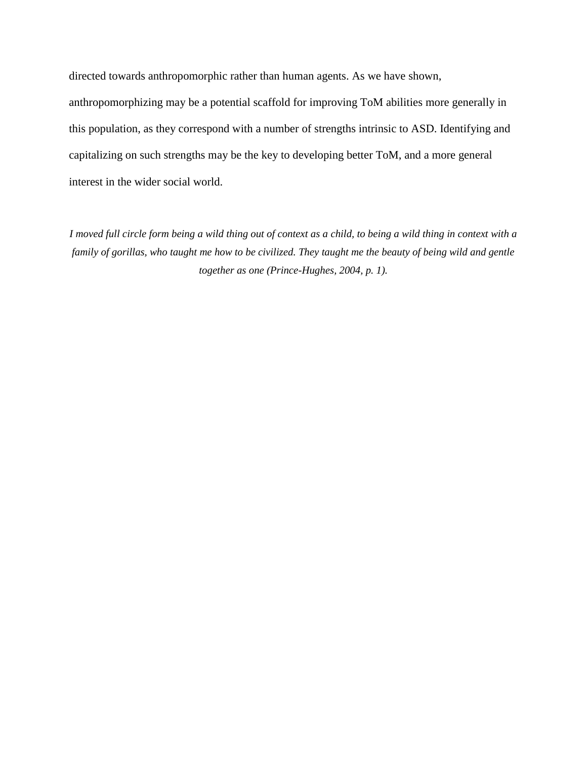directed towards anthropomorphic rather than human agents. As we have shown, anthropomorphizing may be a potential scaffold for improving ToM abilities more generally in this population, as they correspond with a number of strengths intrinsic to ASD. Identifying and capitalizing on such strengths may be the key to developing better ToM, and a more general interest in the wider social world.

*I moved full circle form being a wild thing out of context as a child, to being a wild thing in context with a family of gorillas, who taught me how to be civilized. They taught me the beauty of being wild and gentle together as one (Prince-Hughes, 2004, p. 1).*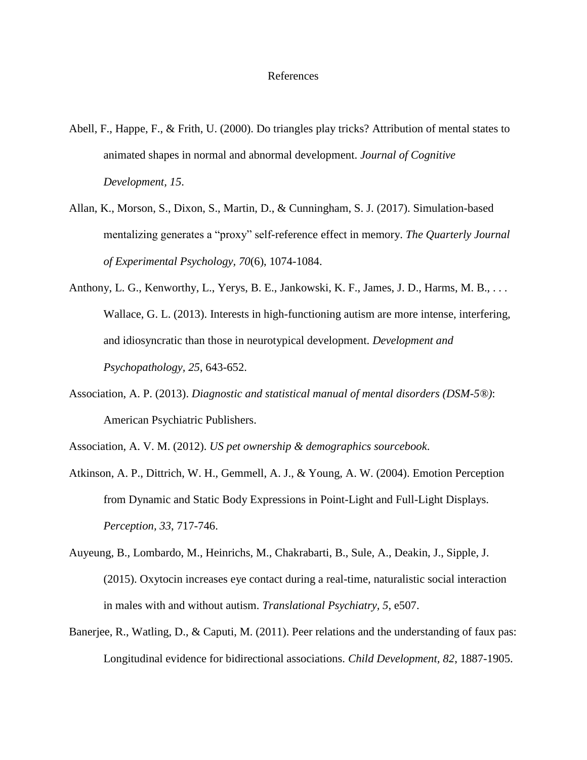## References

- Abell, F., Happe, F., & Frith, U. (2000). Do triangles play tricks? Attribution of mental states to animated shapes in normal and abnormal development. *Journal of Cognitive Development, 15*.
- Allan, K., Morson, S., Dixon, S., Martin, D., & Cunningham, S. J. (2017). Simulation-based mentalizing generates a "proxy" self-reference effect in memory. *The Quarterly Journal of Experimental Psychology, 70*(6), 1074-1084.
- Anthony, L. G., Kenworthy, L., Yerys, B. E., Jankowski, K. F., James, J. D., Harms, M. B., . . . Wallace, G. L. (2013). Interests in high-functioning autism are more intense, interfering, and idiosyncratic than those in neurotypical development. *Development and Psychopathology, 25*, 643-652.
- Association, A. P. (2013). *Diagnostic and statistical manual of mental disorders (DSM-5®)*: American Psychiatric Publishers.
- Association, A. V. M. (2012). *US pet ownership & demographics sourcebook*.
- Atkinson, A. P., Dittrich, W. H., Gemmell, A. J., & Young, A. W. (2004). Emotion Perception from Dynamic and Static Body Expressions in Point-Light and Full-Light Displays. *Perception, 33*, 717-746.
- Auyeung, B., Lombardo, M., Heinrichs, M., Chakrabarti, B., Sule, A., Deakin, J., Sipple, J. (2015). Oxytocin increases eye contact during a real-time, naturalistic social interaction in males with and without autism. *Translational Psychiatry, 5*, e507.
- Banerjee, R., Watling, D., & Caputi, M. (2011). Peer relations and the understanding of faux pas: Longitudinal evidence for bidirectional associations. *Child Development, 82*, 1887-1905.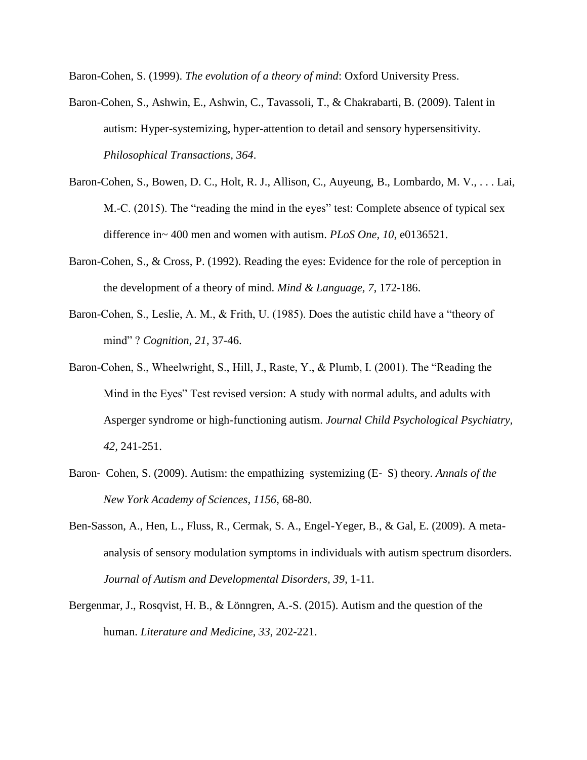Baron-Cohen, S. (1999). *The evolution of a theory of mind*: Oxford University Press.

- Baron-Cohen, S., Ashwin, E., Ashwin, C., Tavassoli, T., & Chakrabarti, B. (2009). Talent in autism: Hyper-systemizing, hyper-attention to detail and sensory hypersensitivity. *Philosophical Transactions, 364*.
- Baron-Cohen, S., Bowen, D. C., Holt, R. J., Allison, C., Auyeung, B., Lombardo, M. V., . . . Lai, M.-C. (2015). The "reading the mind in the eyes" test: Complete absence of typical sex difference in~ 400 men and women with autism. *PLoS One, 10*, e0136521.
- Baron-Cohen, S., & Cross, P. (1992). Reading the eyes: Evidence for the role of perception in the development of a theory of mind. *Mind & Language, 7*, 172-186.
- Baron-Cohen, S., Leslie, A. M., & Frith, U. (1985). Does the autistic child have a "theory of mind" ? *Cognition, 21*, 37-46.
- Baron-Cohen, S., Wheelwright, S., Hill, J., Raste, Y., & Plumb, I. (2001). The "Reading the Mind in the Eyes" Test revised version: A study with normal adults, and adults with Asperger syndrome or high-functioning autism. *Journal Child Psychological Psychiatry, 42,* 241-251.
- Baron‐ Cohen, S. (2009). Autism: the empathizing–systemizing (E‐ S) theory. *Annals of the New York Academy of Sciences, 1156*, 68-80.
- Ben-Sasson, A., Hen, L., Fluss, R., Cermak, S. A., Engel-Yeger, B., & Gal, E. (2009). A metaanalysis of sensory modulation symptoms in individuals with autism spectrum disorders. *Journal of Autism and Developmental Disorders, 39*, 1-11.
- Bergenmar, J., Rosqvist, H. B., & Lönngren, A.-S. (2015). Autism and the question of the human. *Literature and Medicine, 33*, 202-221.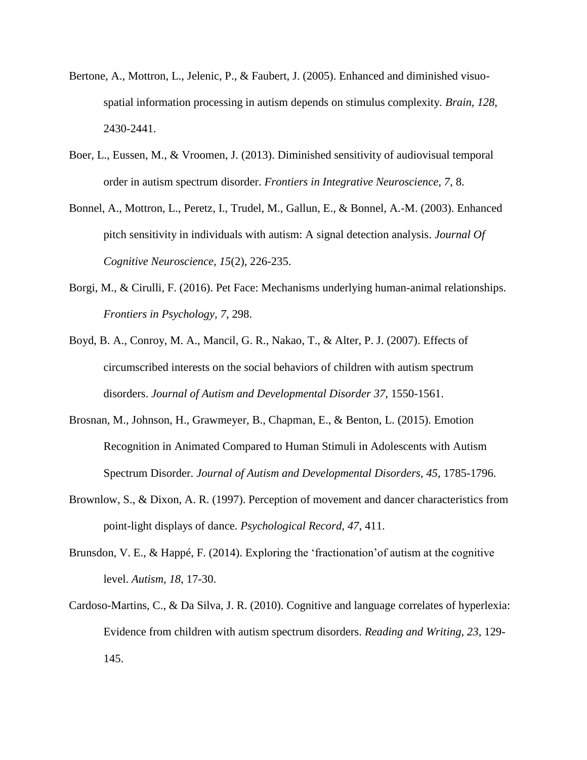- Bertone, A., Mottron, L., Jelenic, P., & Faubert, J. (2005). Enhanced and diminished visuospatial information processing in autism depends on stimulus complexity. *Brain, 128*, 2430-2441.
- Boer, L., Eussen, M., & Vroomen, J. (2013). Diminished sensitivity of audiovisual temporal order in autism spectrum disorder. *Frontiers in Integrative Neuroscience, 7,* 8.
- Bonnel, A., Mottron, L., Peretz, I., Trudel, M., Gallun, E., & Bonnel, A.-M. (2003). Enhanced pitch sensitivity in individuals with autism: A signal detection analysis. *Journal Of Cognitive Neuroscience, 15*(2), 226-235.
- Borgi, M., & Cirulli, F. (2016). Pet Face: Mechanisms underlying human-animal relationships. *Frontiers in Psychology, 7*, 298.
- Boyd, B. A., Conroy, M. A., Mancil, G. R., Nakao, T., & Alter, P. J. (2007). Effects of circumscribed interests on the social behaviors of children with autism spectrum disorders. *Journal of Autism and Developmental Disorder 37*, 1550-1561.
- Brosnan, M., Johnson, H., Grawmeyer, B., Chapman, E., & Benton, L. (2015). Emotion Recognition in Animated Compared to Human Stimuli in Adolescents with Autism Spectrum Disorder. *Journal of Autism and Developmental Disorders, 45*, 1785-1796.
- Brownlow, S., & Dixon, A. R. (1997). Perception of movement and dancer characteristics from point-light displays of dance. *Psychological Record, 47*, 411.
- Brunsdon, V. E., & Happé, F. (2014). Exploring the 'fractionation'of autism at the cognitive level. *Autism, 18*, 17-30.
- Cardoso-Martins, C., & Da Silva, J. R. (2010). Cognitive and language correlates of hyperlexia: Evidence from children with autism spectrum disorders. *Reading and Writing, 23*, 129- 145.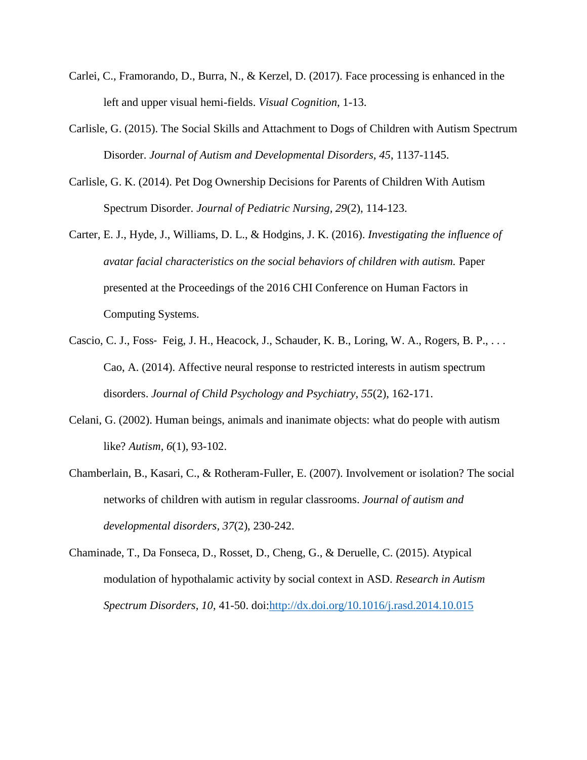- Carlei, C., Framorando, D., Burra, N., & Kerzel, D. (2017). Face processing is enhanced in the left and upper visual hemi-fields. *Visual Cognition*, 1-13.
- Carlisle, G. (2015). The Social Skills and Attachment to Dogs of Children with Autism Spectrum Disorder. *Journal of Autism and Developmental Disorders, 45*, 1137-1145.
- Carlisle, G. K. (2014). Pet Dog Ownership Decisions for Parents of Children With Autism Spectrum Disorder. *Journal of Pediatric Nursing, 29*(2), 114-123.
- Carter, E. J., Hyde, J., Williams, D. L., & Hodgins, J. K. (2016). *Investigating the influence of avatar facial characteristics on the social behaviors of children with autism.* Paper presented at the Proceedings of the 2016 CHI Conference on Human Factors in Computing Systems.
- Cascio, C. J., Foss- Feig, J. H., Heacock, J., Schauder, K. B., Loring, W. A., Rogers, B. P., ... Cao, A. (2014). Affective neural response to restricted interests in autism spectrum disorders. *Journal of Child Psychology and Psychiatry, 55*(2), 162-171.
- Celani, G. (2002). Human beings, animals and inanimate objects: what do people with autism like? *Autism, 6*(1), 93-102.
- Chamberlain, B., Kasari, C., & Rotheram-Fuller, E. (2007). Involvement or isolation? The social networks of children with autism in regular classrooms. *Journal of autism and developmental disorders, 37*(2), 230-242.
- Chaminade, T., Da Fonseca, D., Rosset, D., Cheng, G., & Deruelle, C. (2015). Atypical modulation of hypothalamic activity by social context in ASD. *Research in Autism Spectrum Disorders, 10*, 41-50. doi[:http://dx.doi.org/10.1016/j.rasd.2014.10.015](http://dx.doi.org/10.1016/j.rasd.2014.10.015)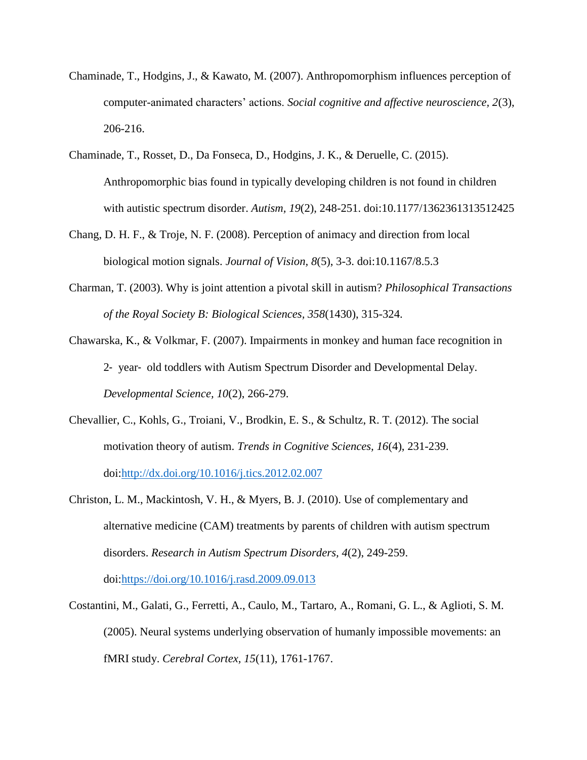- Chaminade, T., Hodgins, J., & Kawato, M. (2007). Anthropomorphism influences perception of computer-animated characters' actions. *Social cognitive and affective neuroscience, 2*(3), 206-216.
- Chaminade, T., Rosset, D., Da Fonseca, D., Hodgins, J. K., & Deruelle, C. (2015). Anthropomorphic bias found in typically developing children is not found in children with autistic spectrum disorder. *Autism, 19*(2), 248-251. doi:10.1177/1362361313512425
- Chang, D. H. F., & Troje, N. F. (2008). Perception of animacy and direction from local biological motion signals. *Journal of Vision, 8*(5), 3-3. doi:10.1167/8.5.3
- Charman, T. (2003). Why is joint attention a pivotal skill in autism? *Philosophical Transactions of the Royal Society B: Biological Sciences, 358*(1430), 315-324.
- Chawarska, K., & Volkmar, F. (2007). Impairments in monkey and human face recognition in 2‐ year‐ old toddlers with Autism Spectrum Disorder and Developmental Delay. *Developmental Science, 10*(2), 266-279.
- Chevallier, C., Kohls, G., Troiani, V., Brodkin, E. S., & Schultz, R. T. (2012). The social motivation theory of autism. *Trends in Cognitive Sciences, 16*(4), 231-239. doi[:http://dx.doi.org/10.1016/j.tics.2012.02.007](http://dx.doi.org/10.1016/j.tics.2012.02.007)
- Christon, L. M., Mackintosh, V. H., & Myers, B. J. (2010). Use of complementary and alternative medicine (CAM) treatments by parents of children with autism spectrum disorders. *Research in Autism Spectrum Disorders, 4*(2), 249-259. doi[:https://doi.org/10.1016/j.rasd.2009.09.013](https://doi.org/10.1016/j.rasd.2009.09.013)
- Costantini, M., Galati, G., Ferretti, A., Caulo, M., Tartaro, A., Romani, G. L., & Aglioti, S. M. (2005). Neural systems underlying observation of humanly impossible movements: an fMRI study. *Cerebral Cortex, 15*(11), 1761-1767.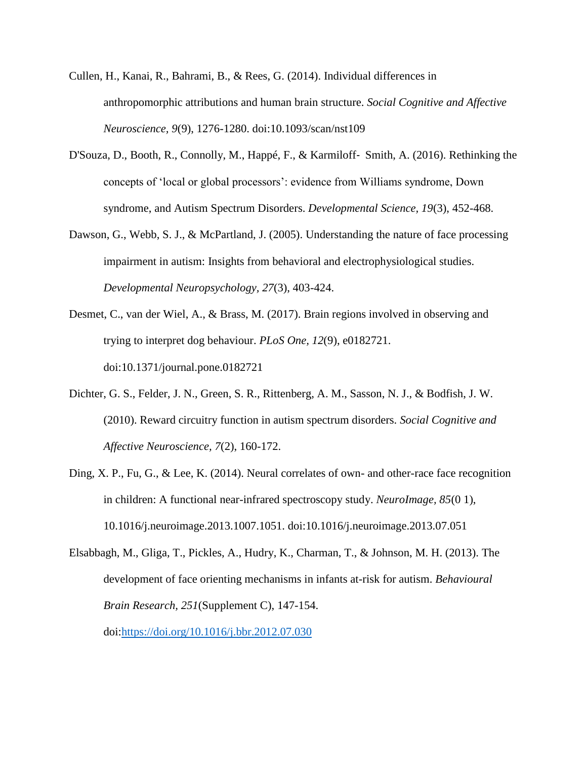- Cullen, H., Kanai, R., Bahrami, B., & Rees, G. (2014). Individual differences in anthropomorphic attributions and human brain structure. *Social Cognitive and Affective Neuroscience, 9*(9), 1276-1280. doi:10.1093/scan/nst109
- D'Souza, D., Booth, R., Connolly, M., Happé, F., & Karmiloff- Smith, A. (2016). Rethinking the concepts of 'local or global processors': evidence from Williams syndrome, Down syndrome, and Autism Spectrum Disorders. *Developmental Science, 19*(3), 452-468.
- Dawson, G., Webb, S. J., & McPartland, J. (2005). Understanding the nature of face processing impairment in autism: Insights from behavioral and electrophysiological studies. *Developmental Neuropsychology, 27*(3), 403-424.
- Desmet, C., van der Wiel, A., & Brass, M. (2017). Brain regions involved in observing and trying to interpret dog behaviour. *PLoS One, 12*(9), e0182721. doi:10.1371/journal.pone.0182721
- Dichter, G. S., Felder, J. N., Green, S. R., Rittenberg, A. M., Sasson, N. J., & Bodfish, J. W. (2010). Reward circuitry function in autism spectrum disorders. *Social Cognitive and Affective Neuroscience, 7*(2), 160-172.
- Ding, X. P., Fu, G., & Lee, K. (2014). Neural correlates of own- and other-race face recognition in children: A functional near-infrared spectroscopy study. *NeuroImage, 85*(0 1), 10.1016/j.neuroimage.2013.1007.1051. doi:10.1016/j.neuroimage.2013.07.051
- Elsabbagh, M., Gliga, T., Pickles, A., Hudry, K., Charman, T., & Johnson, M. H. (2013). The development of face orienting mechanisms in infants at-risk for autism. *Behavioural Brain Research, 251*(Supplement C), 147-154.

doi[:https://doi.org/10.1016/j.bbr.2012.07.030](https://doi.org/10.1016/j.bbr.2012.07.030)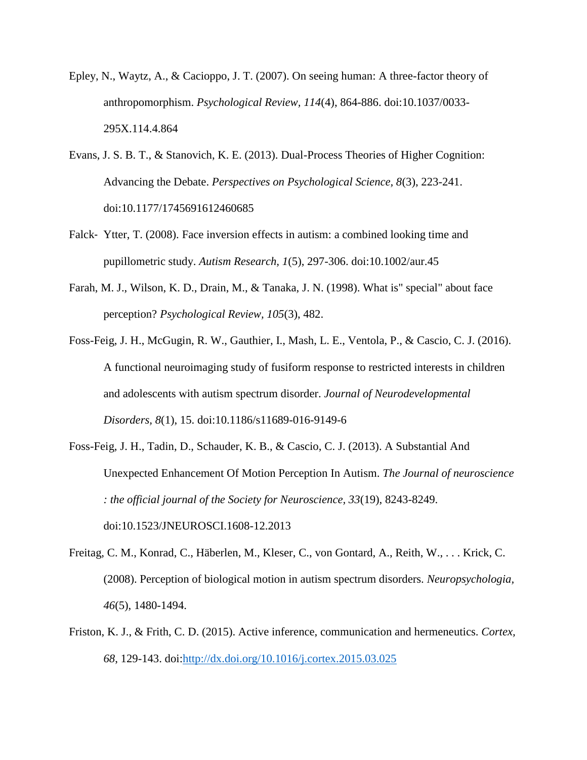- Epley, N., Waytz, A., & Cacioppo, J. T. (2007). On seeing human: A three-factor theory of anthropomorphism. *Psychological Review, 114*(4), 864-886. doi:10.1037/0033- 295X.114.4.864
- Evans, J. S. B. T., & Stanovich, K. E. (2013). Dual-Process Theories of Higher Cognition: Advancing the Debate. *Perspectives on Psychological Science, 8*(3), 223-241. doi:10.1177/1745691612460685
- Falck- Ytter, T. (2008). Face inversion effects in autism: a combined looking time and pupillometric study. *Autism Research, 1*(5), 297-306. doi:10.1002/aur.45
- Farah, M. J., Wilson, K. D., Drain, M., & Tanaka, J. N. (1998). What is" special" about face perception? *Psychological Review, 105*(3), 482.
- Foss-Feig, J. H., McGugin, R. W., Gauthier, I., Mash, L. E., Ventola, P., & Cascio, C. J. (2016). A functional neuroimaging study of fusiform response to restricted interests in children and adolescents with autism spectrum disorder. *Journal of Neurodevelopmental Disorders, 8*(1), 15. doi:10.1186/s11689-016-9149-6
- Foss-Feig, J. H., Tadin, D., Schauder, K. B., & Cascio, C. J. (2013). A Substantial And Unexpected Enhancement Of Motion Perception In Autism. *The Journal of neuroscience : the official journal of the Society for Neuroscience, 33*(19), 8243-8249. doi:10.1523/JNEUROSCI.1608-12.2013
- Freitag, C. M., Konrad, C., Häberlen, M., Kleser, C., von Gontard, A., Reith, W., . . . Krick, C. (2008). Perception of biological motion in autism spectrum disorders. *Neuropsychologia, 46*(5), 1480-1494.
- Friston, K. J., & Frith, C. D. (2015). Active inference, communication and hermeneutics. *Cortex, 68*, 129-143. doi[:http://dx.doi.org/10.1016/j.cortex.2015.03.025](http://dx.doi.org/10.1016/j.cortex.2015.03.025)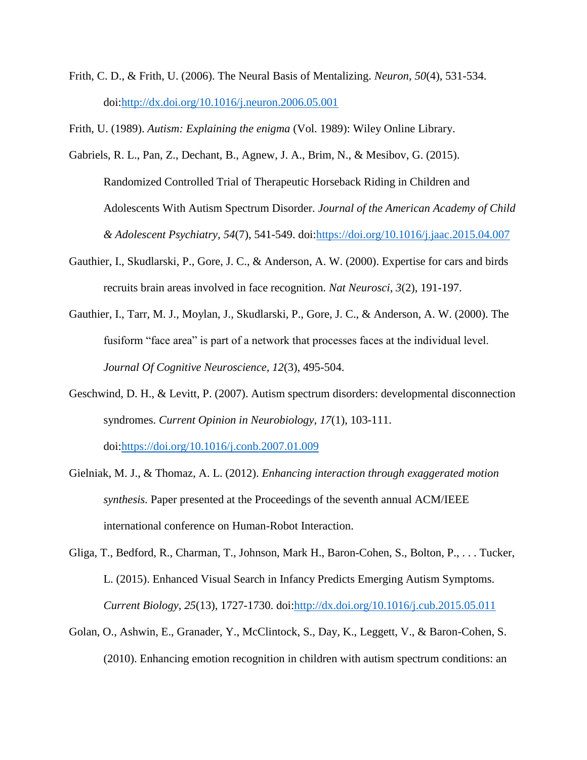Frith, C. D., & Frith, U. (2006). The Neural Basis of Mentalizing. *Neuron, 50*(4), 531-534. doi[:http://dx.doi.org/10.1016/j.neuron.2006.05.001](http://dx.doi.org/10.1016/j.neuron.2006.05.001)

Frith, U. (1989). *Autism: Explaining the enigma* (Vol. 1989): Wiley Online Library.

- Gabriels, R. L., Pan, Z., Dechant, B., Agnew, J. A., Brim, N., & Mesibov, G. (2015). Randomized Controlled Trial of Therapeutic Horseback Riding in Children and Adolescents With Autism Spectrum Disorder. *Journal of the American Academy of Child & Adolescent Psychiatry, 54*(7), 541-549. doi[:https://doi.org/10.1016/j.jaac.2015.04.007](https://doi.org/10.1016/j.jaac.2015.04.007)
- Gauthier, I., Skudlarski, P., Gore, J. C., & Anderson, A. W. (2000). Expertise for cars and birds recruits brain areas involved in face recognition. *Nat Neurosci, 3*(2), 191-197.
- Gauthier, I., Tarr, M. J., Moylan, J., Skudlarski, P., Gore, J. C., & Anderson, A. W. (2000). The fusiform "face area" is part of a network that processes faces at the individual level. *Journal Of Cognitive Neuroscience, 12*(3), 495-504.
- Geschwind, D. H., & Levitt, P. (2007). Autism spectrum disorders: developmental disconnection syndromes. *Current Opinion in Neurobiology, 17*(1), 103-111. doi[:https://doi.org/10.1016/j.conb.2007.01.009](https://doi.org/10.1016/j.conb.2007.01.009)
- Gielniak, M. J., & Thomaz, A. L. (2012). *Enhancing interaction through exaggerated motion synthesis.* Paper presented at the Proceedings of the seventh annual ACM/IEEE international conference on Human-Robot Interaction.
- Gliga, T., Bedford, R., Charman, T., Johnson, Mark H., Baron-Cohen, S., Bolton, P., . . . Tucker, L. (2015). Enhanced Visual Search in Infancy Predicts Emerging Autism Symptoms. *Current Biology, 25*(13), 1727-1730. doi[:http://dx.doi.org/10.1016/j.cub.2015.05.011](http://dx.doi.org/10.1016/j.cub.2015.05.011)
- Golan, O., Ashwin, E., Granader, Y., McClintock, S., Day, K., Leggett, V., & Baron-Cohen, S. (2010). Enhancing emotion recognition in children with autism spectrum conditions: an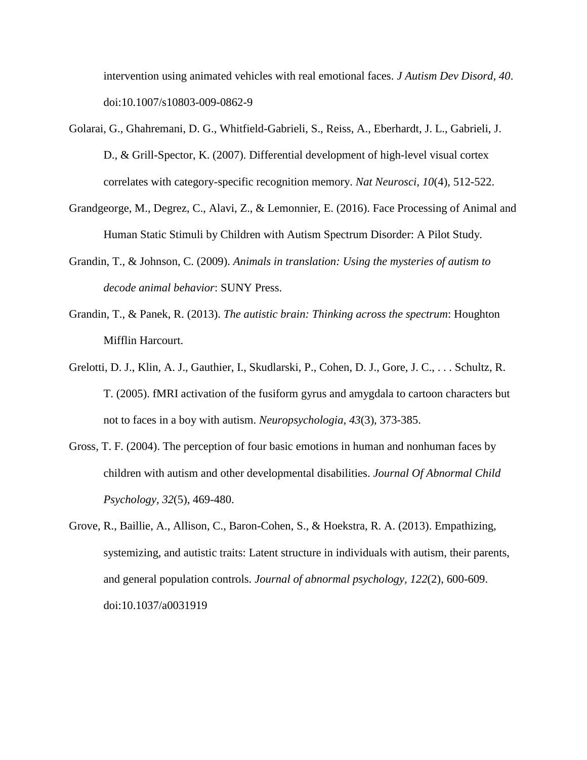intervention using animated vehicles with real emotional faces. *J Autism Dev Disord, 40*. doi:10.1007/s10803-009-0862-9

- Golarai, G., Ghahremani, D. G., Whitfield-Gabrieli, S., Reiss, A., Eberhardt, J. L., Gabrieli, J. D., & Grill-Spector, K. (2007). Differential development of high-level visual cortex correlates with category-specific recognition memory. *Nat Neurosci, 10*(4), 512-522.
- Grandgeorge, M., Degrez, C., Alavi, Z., & Lemonnier, E. (2016). Face Processing of Animal and Human Static Stimuli by Children with Autism Spectrum Disorder: A Pilot Study.
- Grandin, T., & Johnson, C. (2009). *Animals in translation: Using the mysteries of autism to decode animal behavior*: SUNY Press.
- Grandin, T., & Panek, R. (2013). *The autistic brain: Thinking across the spectrum*: Houghton Mifflin Harcourt.
- Grelotti, D. J., Klin, A. J., Gauthier, I., Skudlarski, P., Cohen, D. J., Gore, J. C., . . . Schultz, R. T. (2005). fMRI activation of the fusiform gyrus and amygdala to cartoon characters but not to faces in a boy with autism. *Neuropsychologia, 43*(3), 373-385.
- Gross, T. F. (2004). The perception of four basic emotions in human and nonhuman faces by children with autism and other developmental disabilities. *Journal Of Abnormal Child Psychology, 32*(5), 469-480.
- Grove, R., Baillie, A., Allison, C., Baron-Cohen, S., & Hoekstra, R. A. (2013). Empathizing, systemizing, and autistic traits: Latent structure in individuals with autism, their parents, and general population controls. *Journal of abnormal psychology, 122*(2), 600-609. doi:10.1037/a0031919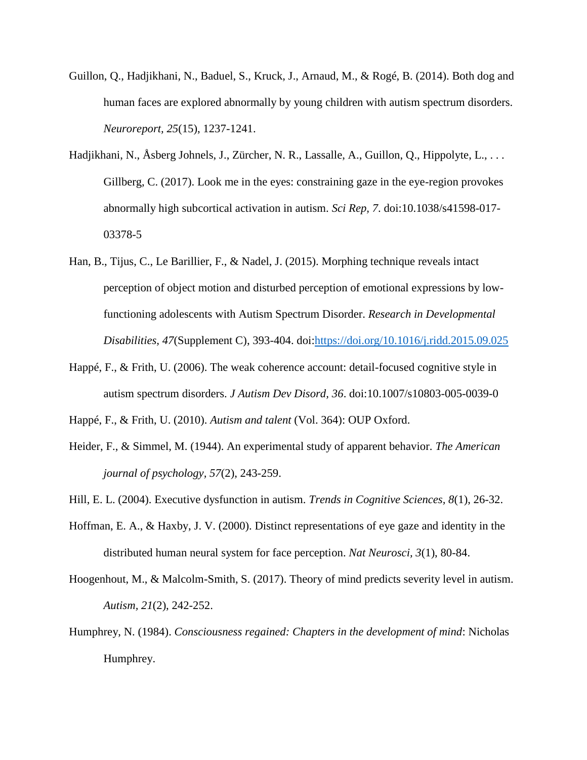- Guillon, Q., Hadjikhani, N., Baduel, S., Kruck, J., Arnaud, M., & Rogé, B. (2014). Both dog and human faces are explored abnormally by young children with autism spectrum disorders. *Neuroreport, 25*(15), 1237-1241.
- Hadjikhani, N., Åsberg Johnels, J., Zürcher, N. R., Lassalle, A., Guillon, Q., Hippolyte, L., . . . Gillberg, C. (2017). Look me in the eyes: constraining gaze in the eye-region provokes abnormally high subcortical activation in autism. *Sci Rep, 7*. doi:10.1038/s41598-017- 03378-5
- Han, B., Tijus, C., Le Barillier, F., & Nadel, J. (2015). Morphing technique reveals intact perception of object motion and disturbed perception of emotional expressions by lowfunctioning adolescents with Autism Spectrum Disorder. *Research in Developmental Disabilities, 47*(Supplement C), 393-404. doi[:https://doi.org/10.1016/j.ridd.2015.09.025](https://doi.org/10.1016/j.ridd.2015.09.025)
- Happé, F., & Frith, U. (2006). The weak coherence account: detail-focused cognitive style in autism spectrum disorders. *J Autism Dev Disord, 36*. doi:10.1007/s10803-005-0039-0

Happé, F., & Frith, U. (2010). *Autism and talent* (Vol. 364): OUP Oxford.

- Heider, F., & Simmel, M. (1944). An experimental study of apparent behavior. *The American journal of psychology, 57*(2), 243-259.
- Hill, E. L. (2004). Executive dysfunction in autism. *Trends in Cognitive Sciences, 8*(1), 26-32.
- Hoffman, E. A., & Haxby, J. V. (2000). Distinct representations of eye gaze and identity in the distributed human neural system for face perception. *Nat Neurosci, 3*(1), 80-84.
- Hoogenhout, M., & Malcolm-Smith, S. (2017). Theory of mind predicts severity level in autism. *Autism, 21*(2), 242-252.
- Humphrey, N. (1984). *Consciousness regained: Chapters in the development of mind*: Nicholas Humphrey.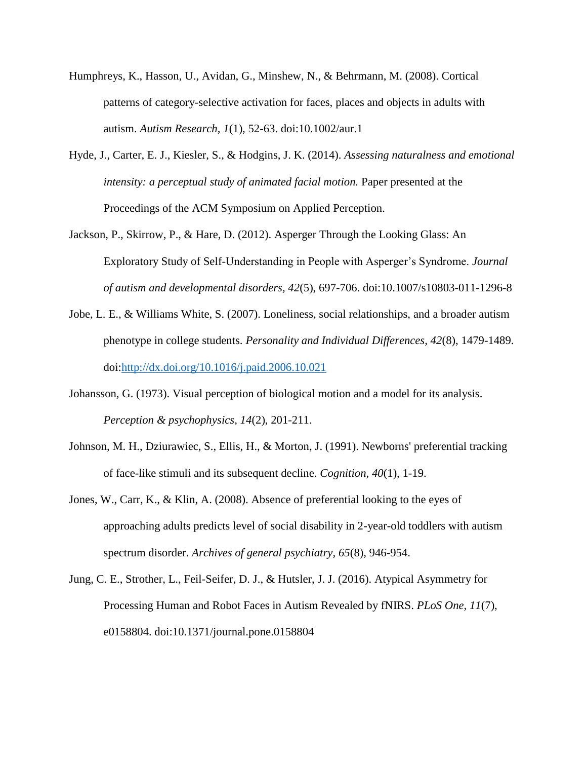- Humphreys, K., Hasson, U., Avidan, G., Minshew, N., & Behrmann, M. (2008). Cortical patterns of category-selective activation for faces, places and objects in adults with autism. *Autism Research, 1*(1), 52-63. doi:10.1002/aur.1
- Hyde, J., Carter, E. J., Kiesler, S., & Hodgins, J. K. (2014). *Assessing naturalness and emotional intensity: a perceptual study of animated facial motion.* Paper presented at the Proceedings of the ACM Symposium on Applied Perception.
- Jackson, P., Skirrow, P., & Hare, D. (2012). Asperger Through the Looking Glass: An Exploratory Study of Self-Understanding in People with Asperger's Syndrome. *Journal of autism and developmental disorders, 42*(5), 697-706. doi:10.1007/s10803-011-1296-8
- Jobe, L. E., & Williams White, S. (2007). Loneliness, social relationships, and a broader autism phenotype in college students. *Personality and Individual Differences, 42*(8), 1479-1489. doi[:http://dx.doi.org/10.1016/j.paid.2006.10.021](http://dx.doi.org/10.1016/j.paid.2006.10.021)
- Johansson, G. (1973). Visual perception of biological motion and a model for its analysis. *Perception & psychophysics, 14*(2), 201-211.
- Johnson, M. H., Dziurawiec, S., Ellis, H., & Morton, J. (1991). Newborns' preferential tracking of face-like stimuli and its subsequent decline. *Cognition, 40*(1), 1-19.
- Jones, W., Carr, K., & Klin, A. (2008). Absence of preferential looking to the eyes of approaching adults predicts level of social disability in 2-year-old toddlers with autism spectrum disorder. *Archives of general psychiatry, 65*(8), 946-954.
- Jung, C. E., Strother, L., Feil-Seifer, D. J., & Hutsler, J. J. (2016). Atypical Asymmetry for Processing Human and Robot Faces in Autism Revealed by fNIRS. *PLoS One, 11*(7), e0158804. doi:10.1371/journal.pone.0158804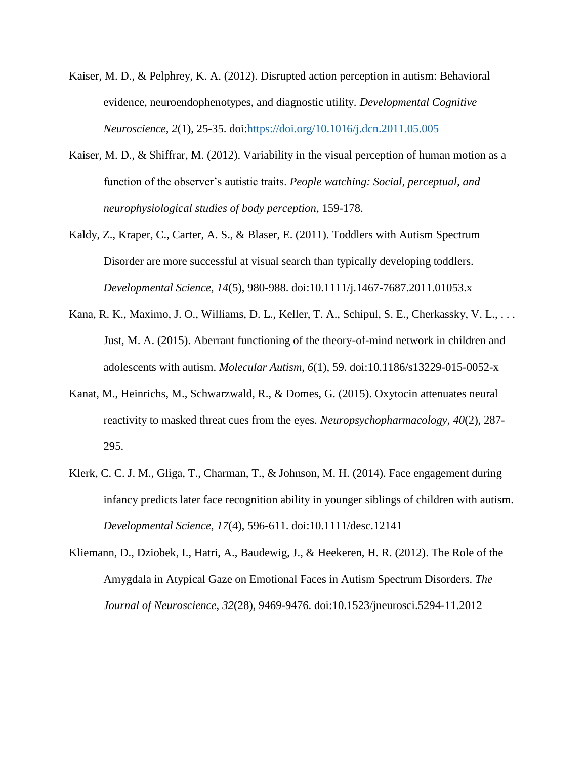- Kaiser, M. D., & Pelphrey, K. A. (2012). Disrupted action perception in autism: Behavioral evidence, neuroendophenotypes, and diagnostic utility. *Developmental Cognitive Neuroscience, 2*(1), 25-35. doi[:https://doi.org/10.1016/j.dcn.2011.05.005](https://doi.org/10.1016/j.dcn.2011.05.005)
- Kaiser, M. D., & Shiffrar, M. (2012). Variability in the visual perception of human motion as a function of the observer's autistic traits. *People watching: Social, perceptual, and neurophysiological studies of body perception*, 159-178.
- Kaldy, Z., Kraper, C., Carter, A. S., & Blaser, E. (2011). Toddlers with Autism Spectrum Disorder are more successful at visual search than typically developing toddlers. *Developmental Science, 14*(5), 980-988. doi:10.1111/j.1467-7687.2011.01053.x
- Kana, R. K., Maximo, J. O., Williams, D. L., Keller, T. A., Schipul, S. E., Cherkassky, V. L., . . . Just, M. A. (2015). Aberrant functioning of the theory-of-mind network in children and adolescents with autism. *Molecular Autism, 6*(1), 59. doi:10.1186/s13229-015-0052-x
- Kanat, M., Heinrichs, M., Schwarzwald, R., & Domes, G. (2015). Oxytocin attenuates neural reactivity to masked threat cues from the eyes. *Neuropsychopharmacology, 40*(2), 287- 295.
- Klerk, C. C. J. M., Gliga, T., Charman, T., & Johnson, M. H. (2014). Face engagement during infancy predicts later face recognition ability in younger siblings of children with autism. *Developmental Science, 17*(4), 596-611. doi:10.1111/desc.12141
- Kliemann, D., Dziobek, I., Hatri, A., Baudewig, J., & Heekeren, H. R. (2012). The Role of the Amygdala in Atypical Gaze on Emotional Faces in Autism Spectrum Disorders. *The Journal of Neuroscience, 32*(28), 9469-9476. doi:10.1523/jneurosci.5294-11.2012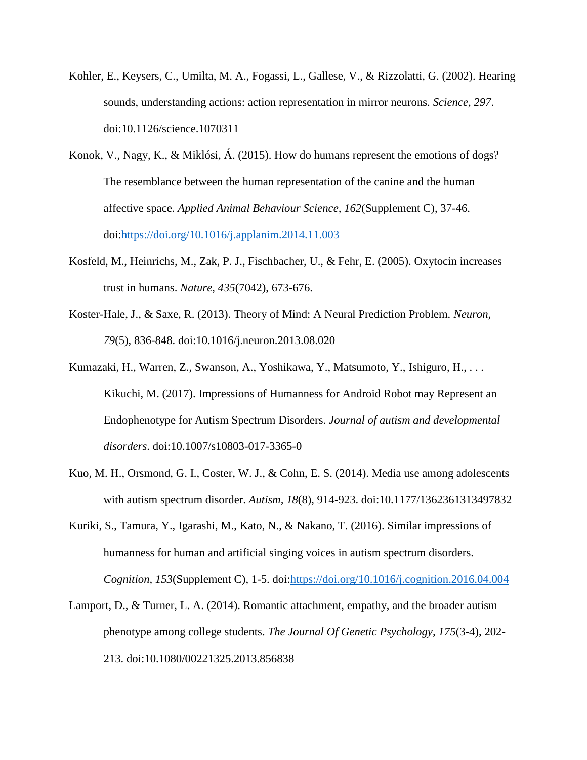- Kohler, E., Keysers, C., Umilta, M. A., Fogassi, L., Gallese, V., & Rizzolatti, G. (2002). Hearing sounds, understanding actions: action representation in mirror neurons. *Science, 297*. doi:10.1126/science.1070311
- Konok, V., Nagy, K., & Miklósi, Á. (2015). How do humans represent the emotions of dogs? The resemblance between the human representation of the canine and the human affective space. *Applied Animal Behaviour Science, 162*(Supplement C), 37-46. doi[:https://doi.org/10.1016/j.applanim.2014.11.003](https://doi.org/10.1016/j.applanim.2014.11.003)
- Kosfeld, M., Heinrichs, M., Zak, P. J., Fischbacher, U., & Fehr, E. (2005). Oxytocin increases trust in humans. *Nature, 435*(7042), 673-676.
- Koster-Hale, J., & Saxe, R. (2013). Theory of Mind: A Neural Prediction Problem. *Neuron, 79*(5), 836-848. doi:10.1016/j.neuron.2013.08.020
- Kumazaki, H., Warren, Z., Swanson, A., Yoshikawa, Y., Matsumoto, Y., Ishiguro, H., . . . Kikuchi, M. (2017). Impressions of Humanness for Android Robot may Represent an Endophenotype for Autism Spectrum Disorders. *Journal of autism and developmental disorders*. doi:10.1007/s10803-017-3365-0
- Kuo, M. H., Orsmond, G. I., Coster, W. J., & Cohn, E. S. (2014). Media use among adolescents with autism spectrum disorder. *Autism, 18*(8), 914-923. doi:10.1177/1362361313497832
- Kuriki, S., Tamura, Y., Igarashi, M., Kato, N., & Nakano, T. (2016). Similar impressions of humanness for human and artificial singing voices in autism spectrum disorders. *Cognition, 153*(Supplement C), 1-5. doi[:https://doi.org/10.1016/j.cognition.2016.04.004](https://doi.org/10.1016/j.cognition.2016.04.004)
- Lamport, D., & Turner, L. A. (2014). Romantic attachment, empathy, and the broader autism phenotype among college students. *The Journal Of Genetic Psychology, 175*(3-4), 202- 213. doi:10.1080/00221325.2013.856838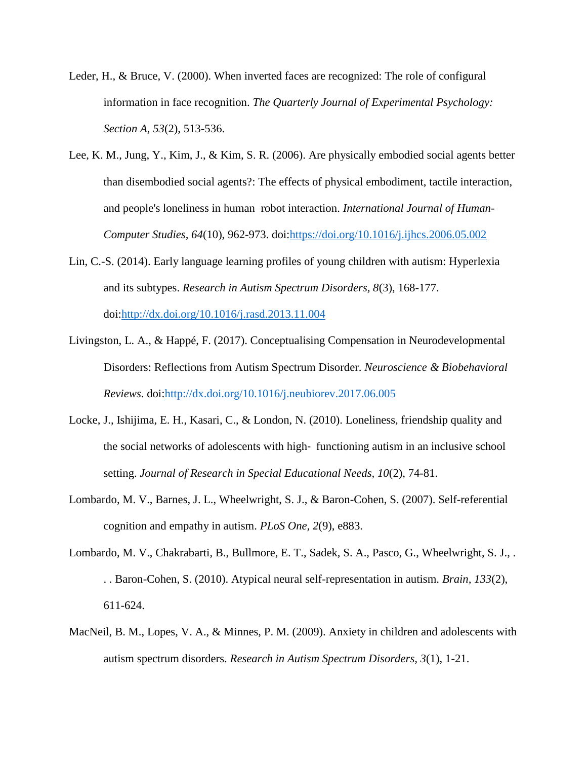- Leder, H., & Bruce, V. (2000). When inverted faces are recognized: The role of configural information in face recognition. *The Quarterly Journal of Experimental Psychology: Section A, 53*(2), 513-536.
- Lee, K. M., Jung, Y., Kim, J., & Kim, S. R. (2006). Are physically embodied social agents better than disembodied social agents?: The effects of physical embodiment, tactile interaction, and people's loneliness in human–robot interaction. *International Journal of Human-Computer Studies, 64*(10), 962-973. doi[:https://doi.org/10.1016/j.ijhcs.2006.05.002](https://doi.org/10.1016/j.ijhcs.2006.05.002)
- Lin, C.-S. (2014). Early language learning profiles of young children with autism: Hyperlexia and its subtypes. *Research in Autism Spectrum Disorders, 8*(3), 168-177. doi[:http://dx.doi.org/10.1016/j.rasd.2013.11.004](http://dx.doi.org/10.1016/j.rasd.2013.11.004)
- Livingston, L. A., & Happé, F. (2017). Conceptualising Compensation in Neurodevelopmental Disorders: Reflections from Autism Spectrum Disorder. *Neuroscience & Biobehavioral Reviews*. doi[:http://dx.doi.org/10.1016/j.neubiorev.2017.06.005](http://dx.doi.org/10.1016/j.neubiorev.2017.06.005)
- Locke, J., Ishijima, E. H., Kasari, C., & London, N. (2010). Loneliness, friendship quality and the social networks of adolescents with high‐ functioning autism in an inclusive school setting. *Journal of Research in Special Educational Needs, 10*(2), 74-81.
- Lombardo, M. V., Barnes, J. L., Wheelwright, S. J., & Baron-Cohen, S. (2007). Self-referential cognition and empathy in autism. *PLoS One, 2*(9), e883.
- Lombardo, M. V., Chakrabarti, B., Bullmore, E. T., Sadek, S. A., Pasco, G., Wheelwright, S. J., . . . Baron-Cohen, S. (2010). Atypical neural self-representation in autism. *Brain, 133*(2), 611-624.
- MacNeil, B. M., Lopes, V. A., & Minnes, P. M. (2009). Anxiety in children and adolescents with autism spectrum disorders. *Research in Autism Spectrum Disorders, 3*(1), 1-21.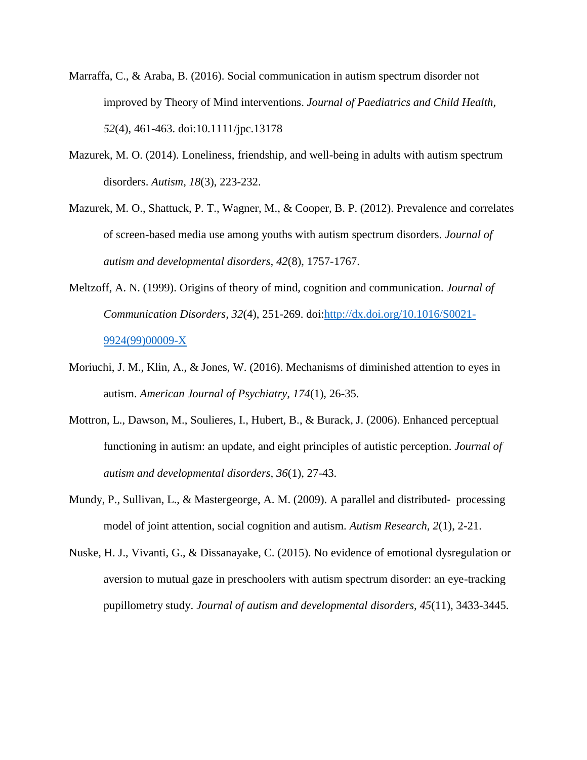- Marraffa, C., & Araba, B. (2016). Social communication in autism spectrum disorder not improved by Theory of Mind interventions. *Journal of Paediatrics and Child Health, 52*(4), 461-463. doi:10.1111/jpc.13178
- Mazurek, M. O. (2014). Loneliness, friendship, and well-being in adults with autism spectrum disorders. *Autism, 18*(3), 223-232.
- Mazurek, M. O., Shattuck, P. T., Wagner, M., & Cooper, B. P. (2012). Prevalence and correlates of screen-based media use among youths with autism spectrum disorders. *Journal of autism and developmental disorders, 42*(8), 1757-1767.
- Meltzoff, A. N. (1999). Origins of theory of mind, cognition and communication. *Journal of Communication Disorders, 32*(4), 251-269. doi[:http://dx.doi.org/10.1016/S0021-](http://dx.doi.org/10.1016/S0021-9924(99)00009-X) [9924\(99\)00009-X](http://dx.doi.org/10.1016/S0021-9924(99)00009-X)
- Moriuchi, J. M., Klin, A., & Jones, W. (2016). Mechanisms of diminished attention to eyes in autism. *American Journal of Psychiatry, 174*(1), 26-35.
- Mottron, L., Dawson, M., Soulieres, I., Hubert, B., & Burack, J. (2006). Enhanced perceptual functioning in autism: an update, and eight principles of autistic perception. *Journal of autism and developmental disorders, 36*(1), 27-43.
- Mundy, P., Sullivan, L., & Mastergeorge, A. M. (2009). A parallel and distributed‐ processing model of joint attention, social cognition and autism. *Autism Research, 2*(1), 2-21.
- Nuske, H. J., Vivanti, G., & Dissanayake, C. (2015). No evidence of emotional dysregulation or aversion to mutual gaze in preschoolers with autism spectrum disorder: an eye-tracking pupillometry study. *Journal of autism and developmental disorders, 45*(11), 3433-3445.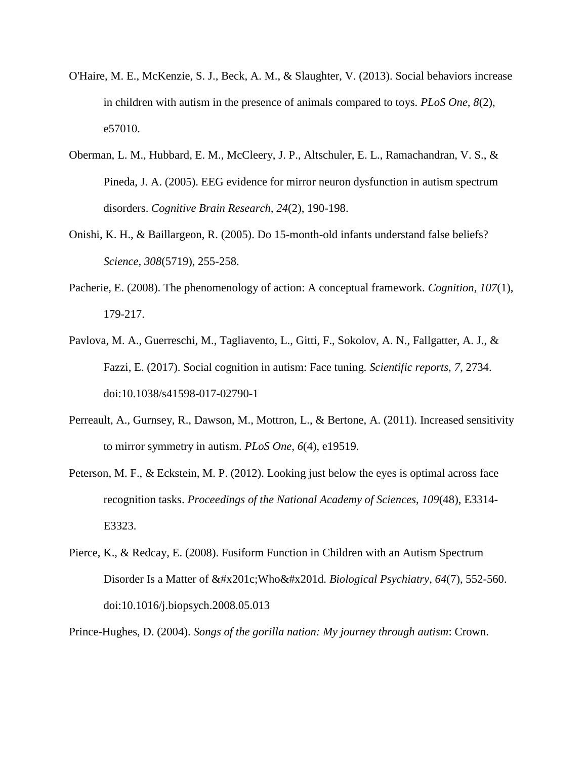- O'Haire, M. E., McKenzie, S. J., Beck, A. M., & Slaughter, V. (2013). Social behaviors increase in children with autism in the presence of animals compared to toys. *PLoS One, 8*(2), e57010.
- Oberman, L. M., Hubbard, E. M., McCleery, J. P., Altschuler, E. L., Ramachandran, V. S., & Pineda, J. A. (2005). EEG evidence for mirror neuron dysfunction in autism spectrum disorders. *Cognitive Brain Research, 24*(2), 190-198.
- Onishi, K. H., & Baillargeon, R. (2005). Do 15-month-old infants understand false beliefs? *Science, 308*(5719), 255-258.
- Pacherie, E. (2008). The phenomenology of action: A conceptual framework. *Cognition, 107*(1), 179-217.
- Pavlova, M. A., Guerreschi, M., Tagliavento, L., Gitti, F., Sokolov, A. N., Fallgatter, A. J., & Fazzi, E. (2017). Social cognition in autism: Face tuning. *Scientific reports, 7*, 2734. doi:10.1038/s41598-017-02790-1
- Perreault, A., Gurnsey, R., Dawson, M., Mottron, L., & Bertone, A. (2011). Increased sensitivity to mirror symmetry in autism. *PLoS One, 6*(4), e19519.
- Peterson, M. F., & Eckstein, M. P. (2012). Looking just below the eyes is optimal across face recognition tasks. *Proceedings of the National Academy of Sciences, 109*(48), E3314- E3323.
- Pierce, K., & Redcay, E. (2008). Fusiform Function in Children with an Autism Spectrum Disorder Is a Matter of " Who&#x201d. *Biological Psychiatry*, 64(7), 552-560. doi:10.1016/j.biopsych.2008.05.013

Prince-Hughes, D. (2004). *Songs of the gorilla nation: My journey through autism*: Crown.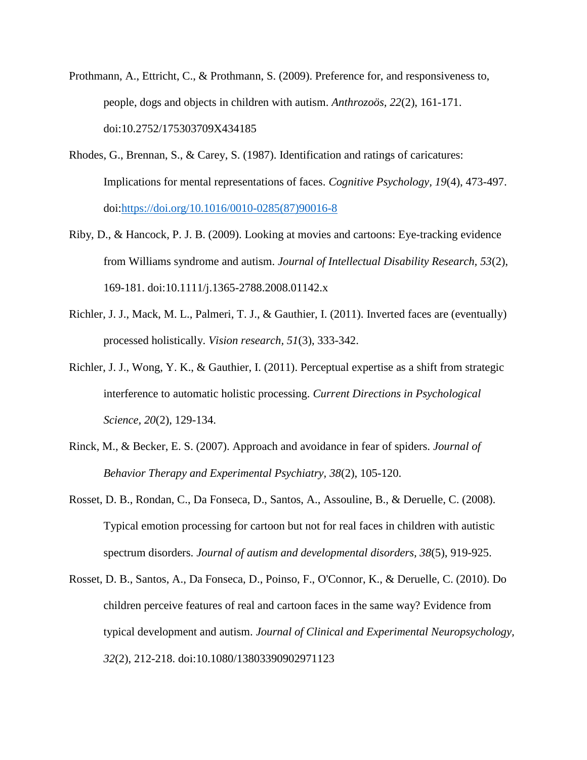- Prothmann, A., Ettricht, C., & Prothmann, S. (2009). Preference for, and responsiveness to, people, dogs and objects in children with autism. *Anthrozoös, 22*(2), 161-171. doi:10.2752/175303709X434185
- Rhodes, G., Brennan, S., & Carey, S. (1987). Identification and ratings of caricatures: Implications for mental representations of faces. *Cognitive Psychology, 19*(4), 473-497. doi[:https://doi.org/10.1016/0010-0285\(87\)90016-8](https://doi.org/10.1016/0010-0285(87)90016-8)
- Riby, D., & Hancock, P. J. B. (2009). Looking at movies and cartoons: Eye-tracking evidence from Williams syndrome and autism. *Journal of Intellectual Disability Research, 53*(2), 169-181. doi:10.1111/j.1365-2788.2008.01142.x
- Richler, J. J., Mack, M. L., Palmeri, T. J., & Gauthier, I. (2011). Inverted faces are (eventually) processed holistically. *Vision research, 51*(3), 333-342.
- Richler, J. J., Wong, Y. K., & Gauthier, I. (2011). Perceptual expertise as a shift from strategic interference to automatic holistic processing. *Current Directions in Psychological Science, 20*(2), 129-134.
- Rinck, M., & Becker, E. S. (2007). Approach and avoidance in fear of spiders. *Journal of Behavior Therapy and Experimental Psychiatry, 38*(2), 105-120.
- Rosset, D. B., Rondan, C., Da Fonseca, D., Santos, A., Assouline, B., & Deruelle, C. (2008). Typical emotion processing for cartoon but not for real faces in children with autistic spectrum disorders. *Journal of autism and developmental disorders, 38*(5), 919-925.
- Rosset, D. B., Santos, A., Da Fonseca, D., Poinso, F., O'Connor, K., & Deruelle, C. (2010). Do children perceive features of real and cartoon faces in the same way? Evidence from typical development and autism. *Journal of Clinical and Experimental Neuropsychology, 32*(2), 212-218. doi:10.1080/13803390902971123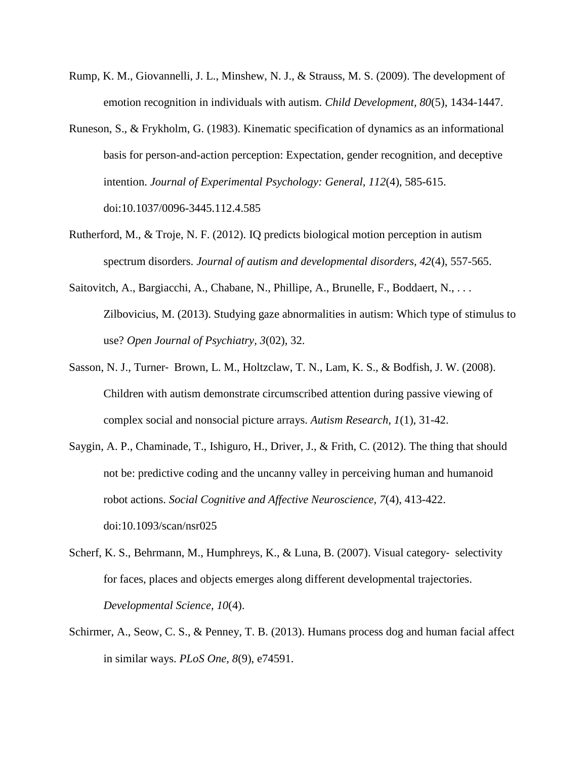- Rump, K. M., Giovannelli, J. L., Minshew, N. J., & Strauss, M. S. (2009). The development of emotion recognition in individuals with autism. *Child Development, 80*(5), 1434-1447.
- Runeson, S., & Frykholm, G. (1983). Kinematic specification of dynamics as an informational basis for person-and-action perception: Expectation, gender recognition, and deceptive intention. *Journal of Experimental Psychology: General, 112*(4), 585-615. doi:10.1037/0096-3445.112.4.585
- Rutherford, M., & Troje, N. F. (2012). IQ predicts biological motion perception in autism spectrum disorders. *Journal of autism and developmental disorders, 42*(4), 557-565.
- Saitovitch, A., Bargiacchi, A., Chabane, N., Phillipe, A., Brunelle, F., Boddaert, N., . . . Zilbovicius, M. (2013). Studying gaze abnormalities in autism: Which type of stimulus to use? *Open Journal of Psychiatry, 3*(02), 32.
- Sasson, N. J., Turner‐ Brown, L. M., Holtzclaw, T. N., Lam, K. S., & Bodfish, J. W. (2008). Children with autism demonstrate circumscribed attention during passive viewing of complex social and nonsocial picture arrays. *Autism Research, 1*(1), 31-42.
- Saygin, A. P., Chaminade, T., Ishiguro, H., Driver, J., & Frith, C. (2012). The thing that should not be: predictive coding and the uncanny valley in perceiving human and humanoid robot actions. *Social Cognitive and Affective Neuroscience, 7*(4), 413-422. doi:10.1093/scan/nsr025
- Scherf, K. S., Behrmann, M., Humphreys, K., & Luna, B. (2007). Visual category‐ selectivity for faces, places and objects emerges along different developmental trajectories. *Developmental Science, 10*(4).
- Schirmer, A., Seow, C. S., & Penney, T. B. (2013). Humans process dog and human facial affect in similar ways. *PLoS One, 8*(9), e74591.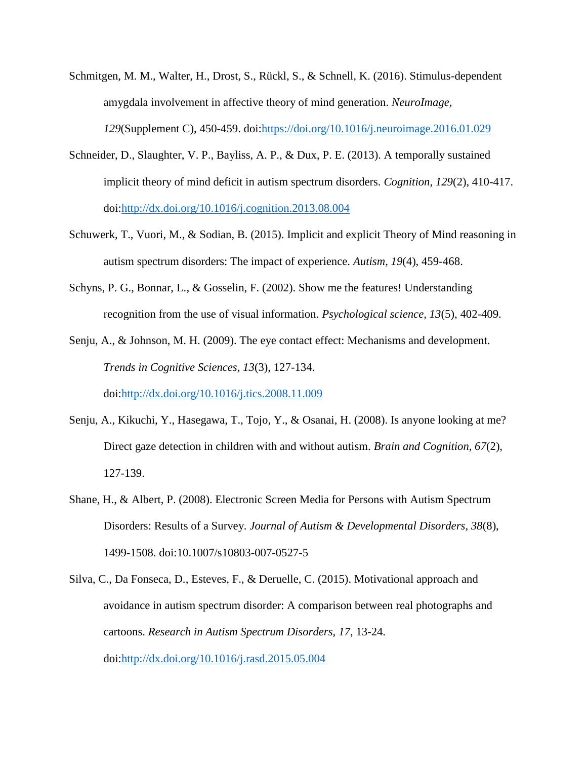- Schmitgen, M. M., Walter, H., Drost, S., Rückl, S., & Schnell, K. (2016). Stimulus-dependent amygdala involvement in affective theory of mind generation. *NeuroImage, 129*(Supplement C), 450-459. doi[:https://doi.org/10.1016/j.neuroimage.2016.01.029](https://doi.org/10.1016/j.neuroimage.2016.01.029)
- Schneider, D., Slaughter, V. P., Bayliss, A. P., & Dux, P. E. (2013). A temporally sustained implicit theory of mind deficit in autism spectrum disorders. *Cognition, 129*(2), 410-417. doi[:http://dx.doi.org/10.1016/j.cognition.2013.08.004](http://dx.doi.org/10.1016/j.cognition.2013.08.004)
- Schuwerk, T., Vuori, M., & Sodian, B. (2015). Implicit and explicit Theory of Mind reasoning in autism spectrum disorders: The impact of experience. *Autism, 19*(4), 459-468.
- Schyns, P. G., Bonnar, L., & Gosselin, F. (2002). Show me the features! Understanding recognition from the use of visual information. *Psychological science, 13*(5), 402-409.
- Senju, A., & Johnson, M. H. (2009). The eye contact effect: Mechanisms and development. *Trends in Cognitive Sciences, 13*(3), 127-134.

doi[:http://dx.doi.org/10.1016/j.tics.2008.11.009](http://dx.doi.org/10.1016/j.tics.2008.11.009)

- Senju, A., Kikuchi, Y., Hasegawa, T., Tojo, Y., & Osanai, H. (2008). Is anyone looking at me? Direct gaze detection in children with and without autism. *Brain and Cognition, 67*(2), 127-139.
- Shane, H., & Albert, P. (2008). Electronic Screen Media for Persons with Autism Spectrum Disorders: Results of a Survey. *Journal of Autism & Developmental Disorders, 38*(8), 1499-1508. doi:10.1007/s10803-007-0527-5
- Silva, C., Da Fonseca, D., Esteves, F., & Deruelle, C. (2015). Motivational approach and avoidance in autism spectrum disorder: A comparison between real photographs and cartoons. *Research in Autism Spectrum Disorders, 17*, 13-24. doi[:http://dx.doi.org/10.1016/j.rasd.2015.05.004](http://dx.doi.org/10.1016/j.rasd.2015.05.004)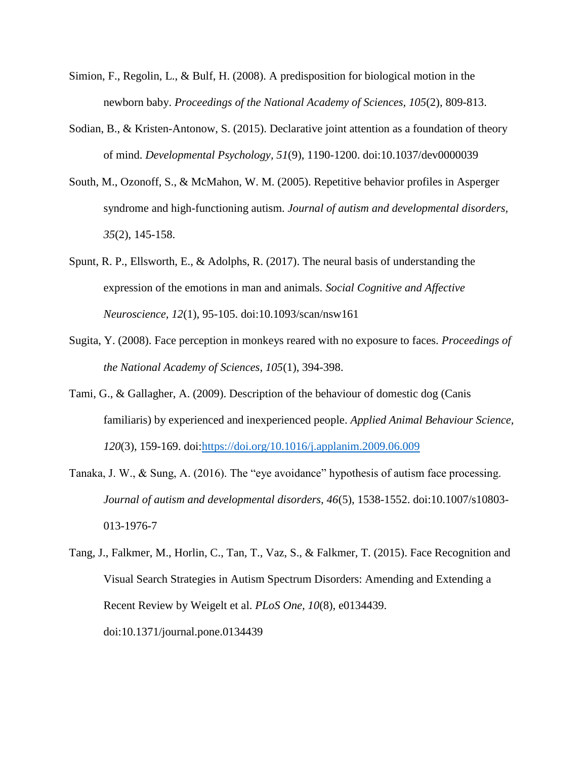- Simion, F., Regolin, L., & Bulf, H. (2008). A predisposition for biological motion in the newborn baby. *Proceedings of the National Academy of Sciences, 105*(2), 809-813.
- Sodian, B., & Kristen-Antonow, S. (2015). Declarative joint attention as a foundation of theory of mind. *Developmental Psychology, 51*(9), 1190-1200. doi:10.1037/dev0000039
- South, M., Ozonoff, S., & McMahon, W. M. (2005). Repetitive behavior profiles in Asperger syndrome and high-functioning autism. *Journal of autism and developmental disorders, 35*(2), 145-158.
- Spunt, R. P., Ellsworth, E., & Adolphs, R. (2017). The neural basis of understanding the expression of the emotions in man and animals. *Social Cognitive and Affective Neuroscience, 12*(1), 95-105. doi:10.1093/scan/nsw161
- Sugita, Y. (2008). Face perception in monkeys reared with no exposure to faces. *Proceedings of the National Academy of Sciences, 105*(1), 394-398.
- Tami, G., & Gallagher, A. (2009). Description of the behaviour of domestic dog (Canis familiaris) by experienced and inexperienced people. *Applied Animal Behaviour Science, 120*(3), 159-169. doi[:https://doi.org/10.1016/j.applanim.2009.06.009](https://doi.org/10.1016/j.applanim.2009.06.009)
- Tanaka, J. W., & Sung, A. (2016). The "eye avoidance" hypothesis of autism face processing. *Journal of autism and developmental disorders, 46*(5), 1538-1552. doi:10.1007/s10803- 013-1976-7
- Tang, J., Falkmer, M., Horlin, C., Tan, T., Vaz, S., & Falkmer, T. (2015). Face Recognition and Visual Search Strategies in Autism Spectrum Disorders: Amending and Extending a Recent Review by Weigelt et al. *PLoS One, 10*(8), e0134439. doi:10.1371/journal.pone.0134439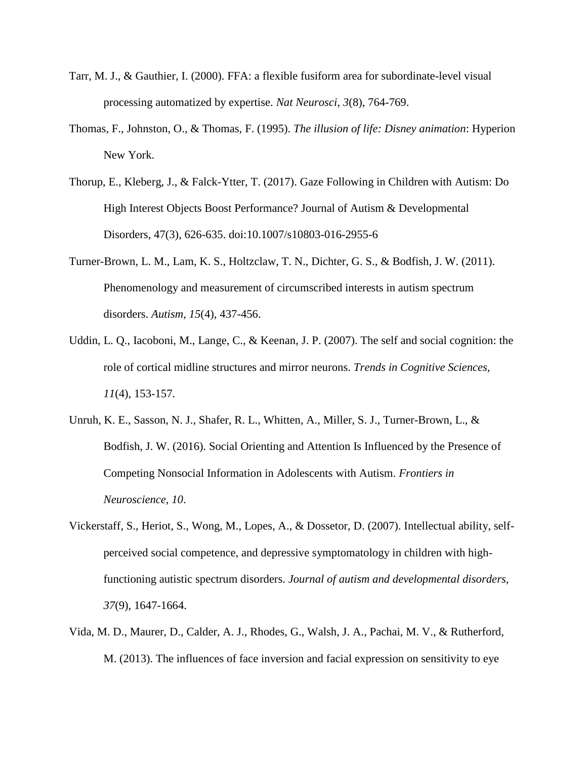- Tarr, M. J., & Gauthier, I. (2000). FFA: a flexible fusiform area for subordinate-level visual processing automatized by expertise. *Nat Neurosci, 3*(8), 764-769.
- Thomas, F., Johnston, O., & Thomas, F. (1995). *The illusion of life: Disney animation*: Hyperion New York.
- Thorup, E., Kleberg, J., & Falck-Ytter, T. (2017). Gaze Following in Children with Autism: Do High Interest Objects Boost Performance? Journal of Autism & Developmental Disorders, 47(3), 626-635. doi:10.1007/s10803-016-2955-6
- Turner-Brown, L. M., Lam, K. S., Holtzclaw, T. N., Dichter, G. S., & Bodfish, J. W. (2011). Phenomenology and measurement of circumscribed interests in autism spectrum disorders. *Autism, 15*(4), 437-456.
- Uddin, L. Q., Iacoboni, M., Lange, C., & Keenan, J. P. (2007). The self and social cognition: the role of cortical midline structures and mirror neurons. *Trends in Cognitive Sciences, 11*(4), 153-157.
- Unruh, K. E., Sasson, N. J., Shafer, R. L., Whitten, A., Miller, S. J., Turner-Brown, L., & Bodfish, J. W. (2016). Social Orienting and Attention Is Influenced by the Presence of Competing Nonsocial Information in Adolescents with Autism. *Frontiers in Neuroscience, 10*.
- Vickerstaff, S., Heriot, S., Wong, M., Lopes, A., & Dossetor, D. (2007). Intellectual ability, selfperceived social competence, and depressive symptomatology in children with highfunctioning autistic spectrum disorders. *Journal of autism and developmental disorders, 37*(9), 1647-1664.
- Vida, M. D., Maurer, D., Calder, A. J., Rhodes, G., Walsh, J. A., Pachai, M. V., & Rutherford, M. (2013). The influences of face inversion and facial expression on sensitivity to eye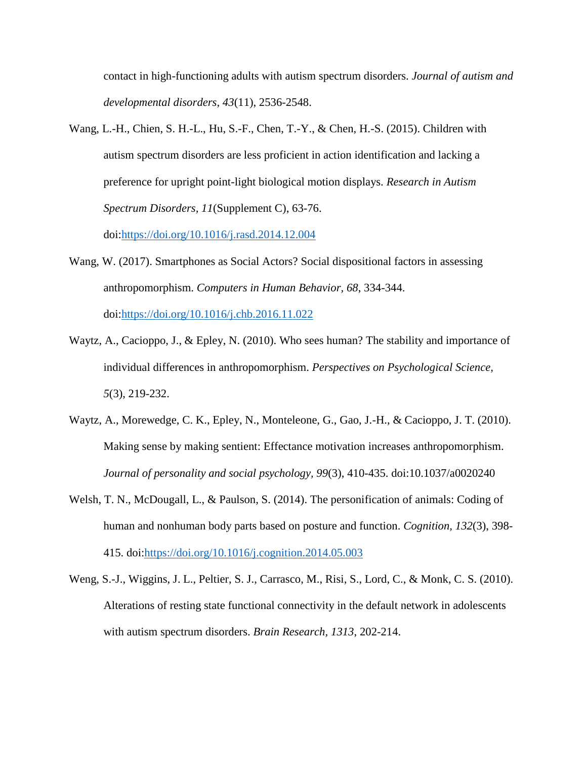contact in high-functioning adults with autism spectrum disorders. *Journal of autism and developmental disorders, 43*(11), 2536-2548.

Wang, L.-H., Chien, S. H.-L., Hu, S.-F., Chen, T.-Y., & Chen, H.-S. (2015). Children with autism spectrum disorders are less proficient in action identification and lacking a preference for upright point-light biological motion displays. *Research in Autism Spectrum Disorders, 11*(Supplement C), 63-76.

doi[:https://doi.org/10.1016/j.rasd.2014.12.004](https://doi.org/10.1016/j.rasd.2014.12.004)

- Wang, W. (2017). Smartphones as Social Actors? Social dispositional factors in assessing anthropomorphism. *Computers in Human Behavior, 68*, 334-344. doi[:https://doi.org/10.1016/j.chb.2016.11.022](https://doi.org/10.1016/j.chb.2016.11.022)
- Waytz, A., Cacioppo, J., & Epley, N. (2010). Who sees human? The stability and importance of individual differences in anthropomorphism. *Perspectives on Psychological Science, 5*(3), 219-232.
- Waytz, A., Morewedge, C. K., Epley, N., Monteleone, G., Gao, J.-H., & Cacioppo, J. T. (2010). Making sense by making sentient: Effectance motivation increases anthropomorphism. *Journal of personality and social psychology, 99*(3), 410-435. doi:10.1037/a0020240
- Welsh, T. N., McDougall, L., & Paulson, S. (2014). The personification of animals: Coding of human and nonhuman body parts based on posture and function. *Cognition, 132*(3), 398- 415. doi[:https://doi.org/10.1016/j.cognition.2014.05.003](https://doi.org/10.1016/j.cognition.2014.05.003)
- Weng, S.-J., Wiggins, J. L., Peltier, S. J., Carrasco, M., Risi, S., Lord, C., & Monk, C. S. (2010). Alterations of resting state functional connectivity in the default network in adolescents with autism spectrum disorders. *Brain Research, 1313*, 202-214.